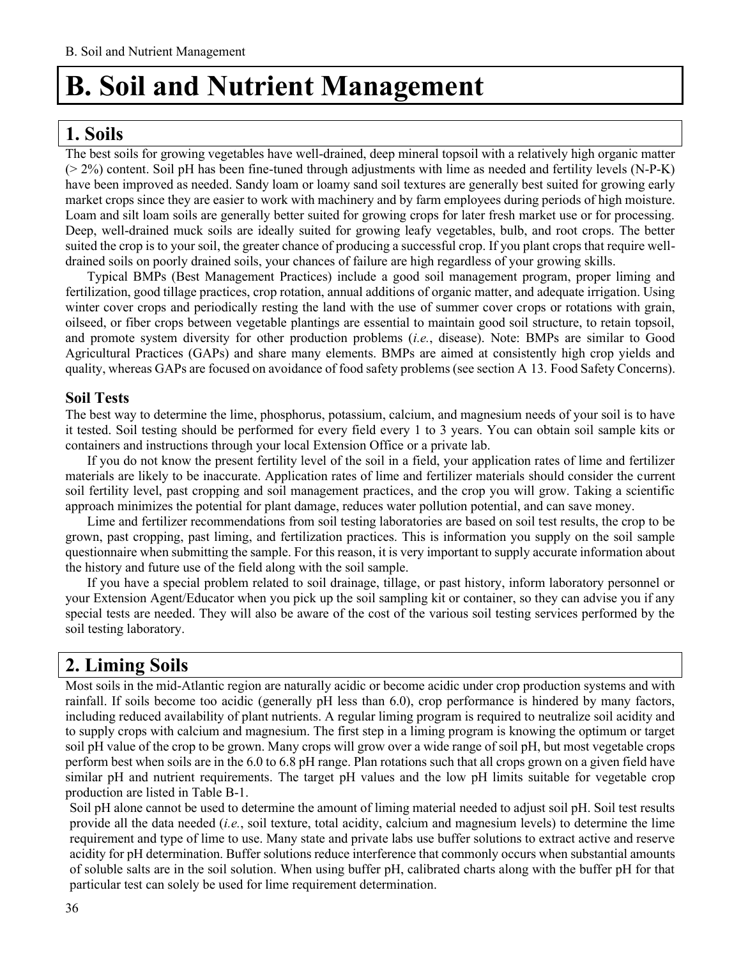# **1. Soils**

The best soils for growing vegetables have well-drained, deep mineral topsoil with a relatively high organic matter (> 2%) content. Soil pH has been fine-tuned through adjustments with lime as needed and fertility levels (N-P-K) have been improved as needed. Sandy loam or loamy sand soil textures are generally best suited for growing early market crops since they are easier to work with machinery and by farm employees during periods of high moisture. Loam and silt loam soils are generally better suited for growing crops for later fresh market use or for processing. Deep, well-drained muck soils are ideally suited for growing leafy vegetables, bulb, and root crops. The better suited the crop is to your soil, the greater chance of producing a successful crop. If you plant crops that require welldrained soils on poorly drained soils, your chances of failure are high regardless of your growing skills.

Typical BMPs (Best Management Practices) include a good soil management program, proper liming and fertilization, good tillage practices, crop rotation, annual additions of organic matter, and adequate irrigation. Using winter cover crops and periodically resting the land with the use of summer cover crops or rotations with grain, oilseed, or fiber crops between vegetable plantings are essential to maintain good soil structure, to retain topsoil, and promote system diversity for other production problems (*i.e.*, disease). Note: BMPs are similar to Good Agricultural Practices (GAPs) and share many elements. BMPs are aimed at consistently high crop yields and quality, whereas GAPs are focused on avoidance of food safety problems (see section A 13. Food Safety Concerns).

### **Soil Tests**

The best way to determine the lime, phosphorus, potassium, calcium, and magnesium needs of your soil is to have it tested. Soil testing should be performed for every field every 1 to 3 years. You can obtain soil sample kits or containers and instructions through your local Extension Office or a private lab.

If you do not know the present fertility level of the soil in a field, your application rates of lime and fertilizer materials are likely to be inaccurate. Application rates of lime and fertilizer materials should consider the current soil fertility level, past cropping and soil management practices, and the crop you will grow. Taking a scientific approach minimizes the potential for plant damage, reduces water pollution potential, and can save money.

Lime and fertilizer recommendations from soil testing laboratories are based on soil test results, the crop to be grown, past cropping, past liming, and fertilization practices. This is information you supply on the soil sample questionnaire when submitting the sample. For this reason, it is very important to supply accurate information about the history and future use of the field along with the soil sample.

If you have a special problem related to soil drainage, tillage, or past history, inform laboratory personnel or your Extension Agent/Educator when you pick up the soil sampling kit or container, so they can advise you if any special tests are needed. They will also be aware of the cost of the various soil testing services performed by the soil testing laboratory.

# **2. Liming Soils**

Most soils in the mid-Atlantic region are naturally acidic or become acidic under crop production systems and with rainfall. If soils become too acidic (generally pH less than 6.0), crop performance is hindered by many factors, including reduced availability of plant nutrients. A regular liming program is required to neutralize soil acidity and to supply crops with calcium and magnesium. The first step in a liming program is knowing the optimum or target soil pH value of the crop to be grown. Many crops will grow over a wide range of soil pH, but most vegetable crops perform best when soils are in the 6.0 to 6.8 pH range. Plan rotations such that all crops grown on a given field have similar pH and nutrient requirements. The target pH values and the low pH limits suitable for vegetable crop production are listed in Table B-1.

Soil pH alone cannot be used to determine the amount of liming material needed to adjust soil pH. Soil test results provide all the data needed (*i.e.*, soil texture, total acidity, calcium and magnesium levels) to determine the lime requirement and type of lime to use. Many state and private labs use buffer solutions to extract active and reserve acidity for pH determination. Buffer solutions reduce interference that commonly occurs when substantial amounts of soluble salts are in the soil solution. When using buffer pH, calibrated charts along with the buffer pH for that particular test can solely be used for lime requirement determination.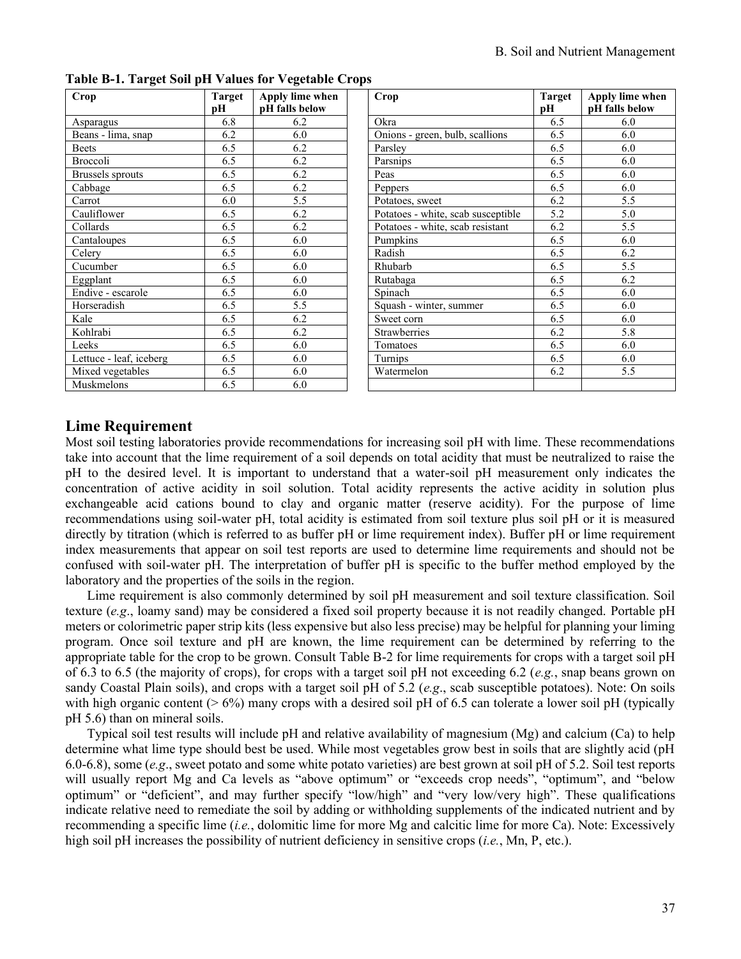| Crop                    | Target<br>рH | Apply lime when<br>pH falls below | Crop                               | Target<br>pН | <b>Apply lim</b><br>pH falls b |
|-------------------------|--------------|-----------------------------------|------------------------------------|--------------|--------------------------------|
| Asparagus               | 6.8          | 6.2                               | Okra                               | 6.5          | 6.0                            |
| Beans - lima, snap      | 6.2          | 6.0                               | Onions - green, bulb, scallions    | 6.5          | 6.0                            |
| <b>Beets</b>            | 6.5          | 6.2                               | Parsley                            | 6.5          | 6.0                            |
| Broccoli                | 6.5          | 6.2                               | Parsnips                           | 6.5          | 6.0                            |
| Brussels sprouts        | 6.5          | 6.2                               | Peas                               | 6.5          | 6.0                            |
| Cabbage                 | 6.5          | 6.2                               | Peppers                            | 6.5          | 6.0                            |
| Carrot                  | 6.0          | 5.5                               | Potatoes, sweet                    | 6.2          | 5.5                            |
| Cauliflower             | 6.5          | 6.2                               | Potatoes - white, scab susceptible | 5.2          | 5.0                            |
| Collards                | 6.5          | 6.2                               | Potatoes - white, scab resistant   | 6.2          | 5.5                            |
| Cantaloupes             | 6.5          | 6.0                               | Pumpkins                           | 6.5          | 6.0                            |
| Celery                  | 6.5          | 6.0                               | Radish                             | 6.5          | 6.2                            |
| Cucumber                | 6.5          | 6.0                               | Rhubarb                            | 6.5          | 5.5                            |
| Eggplant                | 6.5          | 6.0                               | Rutabaga                           | 6.5          | 6.2                            |
| Endive - escarole       | 6.5          | 6.0                               | Spinach                            | 6.5          | 6.0                            |
| Horseradish             | 6.5          | 5.5                               | Squash - winter, summer            | 6.5          | 6.0                            |
| Kale                    | 6.5          | 6.2                               | Sweet corn                         | 6.5          | 6.0                            |
| Kohlrabi                | 6.5          | 6.2                               | <b>Strawberries</b>                | 6.2          | 5.8                            |
| Leeks                   | 6.5          | 6.0                               | Tomatoes                           | 6.5          | 6.0                            |
| Lettuce - leaf, iceberg | 6.5          | 6.0                               | Turnips                            | 6.5          | 6.0                            |
| Mixed vegetables        | 6.5          | 6.0                               | Watermelon                         | 6.2          | 5.5                            |
| Muskmelons              | 6.5          | 6.0                               |                                    |              |                                |

**Table B-1. Target Soil pH Values for Vegetable Crops**

| Crop                               | Target | Apply lime when |
|------------------------------------|--------|-----------------|
|                                    | рH     | pH falls below  |
| Okra                               | 6.5    | 6.0             |
| Onions - green, bulb, scallions    | 6.5    | 6.0             |
| Parsley                            | 6.5    | 6.0             |
| Parsnips                           | 6.5    | 6.0             |
| Peas                               | 6.5    | 6.0             |
| Peppers                            | 6.5    | 6.0             |
| Potatoes, sweet                    | 6.2    | 5.5             |
| Potatoes - white, scab susceptible | 5.2    | 5.0             |
| Potatoes - white, scab resistant   | 6.2    | 5.5             |
| Pumpkins                           | 6.5    | 6.0             |
| Radish                             | 6.5    | 6.2             |
| Rhubarb                            | 6.5    | 5.5             |
| Rutabaga                           | 6.5    | 6.2             |
| Spinach                            | 6.5    | 6.0             |
| Squash - winter, summer            | 6.5    | 6.0             |
| Sweet corn                         | 6.5    | 6.0             |
| <b>Strawberries</b>                | 6.2    | 5.8             |
| Tomatoes                           | 6.5    | 6.0             |
| Turnips                            | 6.5    | 6.0             |
| Watermelon                         | 6.2    | 5.5             |
|                                    |        |                 |

# **Lime Requirement**

Most soil testing laboratories provide recommendations for increasing soil pH with lime. These recommendations take into account that the lime requirement of a soil depends on total acidity that must be neutralized to raise the pH to the desired level. It is important to understand that a water-soil pH measurement only indicates the concentration of active acidity in soil solution. Total acidity represents the active acidity in solution plus exchangeable acid cations bound to clay and organic matter (reserve acidity). For the purpose of lime recommendations using soil-water pH, total acidity is estimated from soil texture plus soil pH or it is measured directly by titration (which is referred to as buffer pH or lime requirement index). Buffer pH or lime requirement index measurements that appear on soil test reports are used to determine lime requirements and should not be confused with soil-water pH. The interpretation of buffer pH is specific to the buffer method employed by the laboratory and the properties of the soils in the region.

Lime requirement is also commonly determined by soil pH measurement and soil texture classification. Soil texture (*e.g*., loamy sand) may be considered a fixed soil property because it is not readily changed. Portable pH meters or colorimetric paper strip kits (less expensive but also less precise) may be helpful for planning your liming program. Once soil texture and pH are known, the lime requirement can be determined by referring to the appropriate table for the crop to be grown. Consult Table B-2 for lime requirements for crops with a target soil pH of 6.3 to 6.5 (the majority of crops), for crops with a target soil pH not exceeding 6.2 (*e.g.*, snap beans grown on sandy Coastal Plain soils), and crops with a target soil pH of 5.2 (*e.g*., scab susceptible potatoes). Note: On soils with high organic content ( $> 6\%$ ) many crops with a desired soil pH of 6.5 can tolerate a lower soil pH (typically pH 5.6) than on mineral soils.

Typical soil test results will include pH and relative availability of magnesium (Mg) and calcium (Ca) to help determine what lime type should best be used. While most vegetables grow best in soils that are slightly acid (pH 6.0-6.8), some (*e.g*., sweet potato and some white potato varieties) are best grown at soil pH of 5.2. Soil test reports will usually report Mg and Ca levels as "above optimum" or "exceeds crop needs", "optimum", and "below optimum" or "deficient", and may further specify "low/high" and "very low/very high". These qualifications indicate relative need to remediate the soil by adding or withholding supplements of the indicated nutrient and by recommending a specific lime (*i.e.*, dolomitic lime for more Mg and calcitic lime for more Ca). Note: Excessively high soil pH increases the possibility of nutrient deficiency in sensitive crops (*i.e.*, Mn, P, etc.).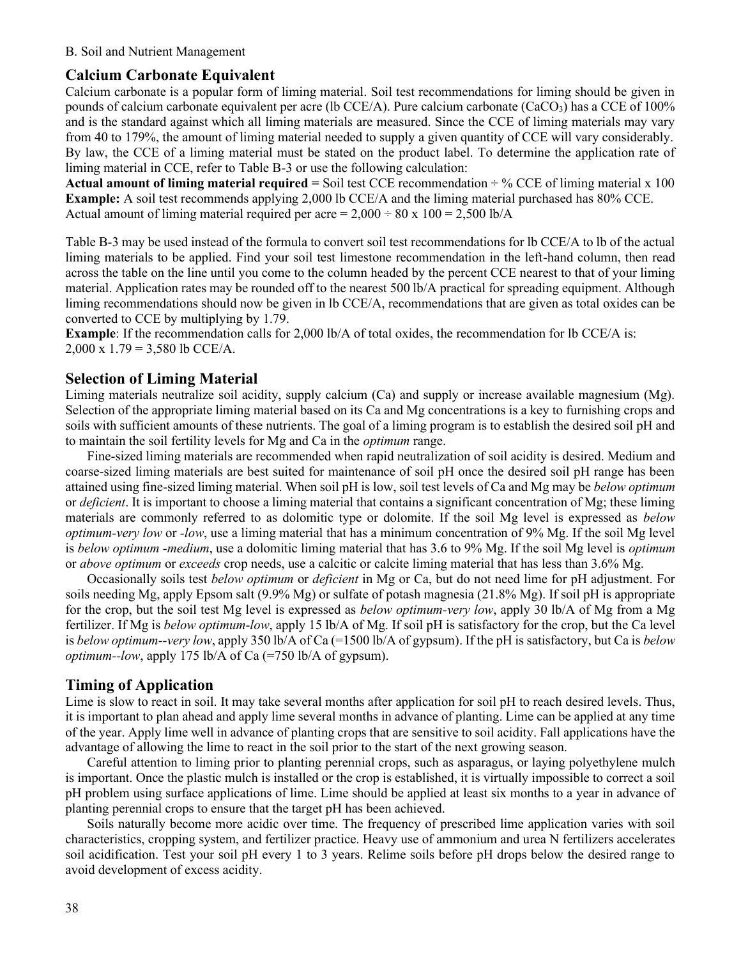#### **Calcium Carbonate Equivalent**

Calcium carbonate is a popular form of liming material. Soil test recommendations for liming should be given in pounds of calcium carbonate equivalent per acre (lb CCE/A). Pure calcium carbonate (CaCO<sub>3</sub>) has a CCE of 100% and is the standard against which all liming materials are measured. Since the CCE of liming materials may vary from 40 to 179%, the amount of liming material needed to supply a given quantity of CCE will vary considerably. By law, the CCE of a liming material must be stated on the product label. To determine the application rate of liming material in CCE, refer to Table B-3 or use the following calculation:

**Actual amount of liming material required =** Soil test CCE recommendation ÷ % CCE of liming material x 100 **Example:** A soil test recommends applying 2,000 lb CCE/A and the liming material purchased has 80% CCE. Actual amount of liming material required per acre =  $2,000 \div 80 \times 100 = 2,500$  lb/A

Table B-3 may be used instead of the formula to convert soil test recommendations for lb CCE/A to lb of the actual liming materials to be applied. Find your soil test limestone recommendation in the left-hand column, then read across the table on the line until you come to the column headed by the percent CCE nearest to that of your liming material. Application rates may be rounded off to the nearest 500 lb/A practical for spreading equipment. Although liming recommendations should now be given in lb CCE/A, recommendations that are given as total oxides can be converted to CCE by multiplying by 1.79.

**Example**: If the recommendation calls for 2,000 lb/A of total oxides, the recommendation for lb CCE/A is: 2,000 x  $1.79 = 3,580$  lb CCE/A.

#### **Selection of Liming Material**

Liming materials neutralize soil acidity, supply calcium (Ca) and supply or increase available magnesium (Mg). Selection of the appropriate liming material based on its Ca and Mg concentrations is a key to furnishing crops and soils with sufficient amounts of these nutrients. The goal of a liming program is to establish the desired soil pH and to maintain the soil fertility levels for Mg and Ca in the *optimum* range.

Fine-sized liming materials are recommended when rapid neutralization of soil acidity is desired. Medium and coarse-sized liming materials are best suited for maintenance of soil pH once the desired soil pH range has been attained using fine-sized liming material. When soil pH is low, soil test levels of Ca and Mg may be *below optimum*  or *deficient*. It is important to choose a liming material that contains a significant concentration of Mg; these liming materials are commonly referred to as dolomitic type or dolomite. If the soil Mg level is expressed as *below optimum-very low* or *-low*, use a liming material that has a minimum concentration of 9% Mg. If the soil Mg level is *below optimum -medium*, use a dolomitic liming material that has 3.6 to 9% Mg. If the soil Mg level is *optimum* or *above optimum* or *exceeds* crop needs, use a calcitic or calcite liming material that has less than 3.6% Mg.

Occasionally soils test *below optimum* or *deficient* in Mg or Ca, but do not need lime for pH adjustment. For soils needing Mg, apply Epsom salt (9.9% Mg) or sulfate of potash magnesia (21.8% Mg). If soil pH is appropriate for the crop, but the soil test Mg level is expressed as *below optimum-very low*, apply 30 lb/A of Mg from a Mg fertilizer. If Mg is *below optimum*-*low*, apply 15 lb/A of Mg. If soil pH is satisfactory for the crop, but the Ca level is *below optimum--very low*, apply 350 lb/A of Ca (=1500 lb/A of gypsum). If the pH is satisfactory, but Ca is *below optimum--low*, apply 175 lb/A of Ca (=750 lb/A of gypsum).

#### **Timing of Application**

Lime is slow to react in soil. It may take several months after application for soil pH to reach desired levels. Thus, it is important to plan ahead and apply lime several months in advance of planting. Lime can be applied at any time of the year. Apply lime well in advance of planting crops that are sensitive to soil acidity. Fall applications have the advantage of allowing the lime to react in the soil prior to the start of the next growing season.

Careful attention to liming prior to planting perennial crops, such as asparagus, or laying polyethylene mulch is important. Once the plastic mulch is installed or the crop is established, it is virtually impossible to correct a soil pH problem using surface applications of lime. Lime should be applied at least six months to a year in advance of planting perennial crops to ensure that the target pH has been achieved.

Soils naturally become more acidic over time. The frequency of prescribed lime application varies with soil characteristics, cropping system, and fertilizer practice. Heavy use of ammonium and urea N fertilizers accelerates soil acidification. Test your soil pH every 1 to 3 years. Relime soils before pH drops below the desired range to avoid development of excess acidity.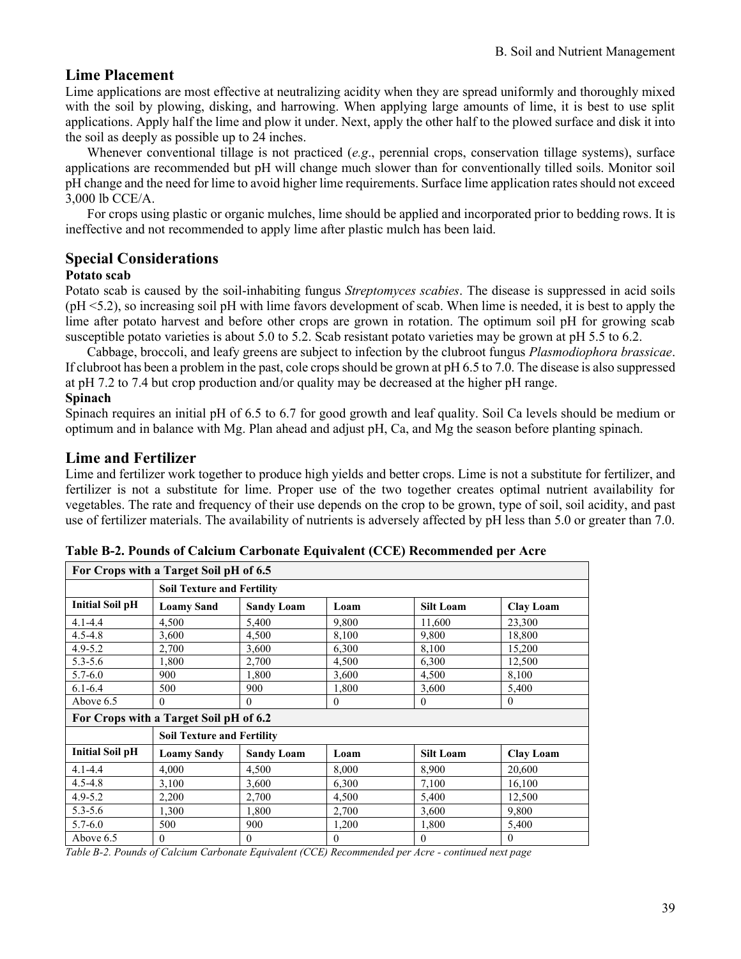# **Lime Placement**

Lime applications are most effective at neutralizing acidity when they are spread uniformly and thoroughly mixed with the soil by plowing, disking, and harrowing. When applying large amounts of lime, it is best to use split applications. Apply half the lime and plow it under. Next, apply the other half to the plowed surface and disk it into the soil as deeply as possible up to 24 inches.

Whenever conventional tillage is not practiced (*e.g*., perennial crops, conservation tillage systems), surface applications are recommended but pH will change much slower than for conventionally tilled soils. Monitor soil pH change and the need for lime to avoid higher lime requirements. Surface lime application rates should not exceed 3,000 lb CCE/A.

For crops using plastic or organic mulches, lime should be applied and incorporated prior to bedding rows. It is ineffective and not recommended to apply lime after plastic mulch has been laid.

# **Special Considerations**

#### **Potato scab**

Potato scab is caused by the soil-inhabiting fungus *Streptomyces scabies*. The disease is suppressed in acid soils (pH <5.2), so increasing soil pH with lime favors development of scab. When lime is needed, it is best to apply the lime after potato harvest and before other crops are grown in rotation. The optimum soil pH for growing scab susceptible potato varieties is about 5.0 to 5.2. Scab resistant potato varieties may be grown at pH 5.5 to 6.2.

Cabbage, broccoli, and leafy greens are subject to infection by the clubroot fungus *Plasmodiophora brassicae*. If clubroot has been a problem in the past, cole crops should be grown at pH 6.5 to 7.0. The disease is also suppressed at pH 7.2 to 7.4 but crop production and/or quality may be decreased at the higher pH range.

#### **Spinach**

Spinach requires an initial pH of 6.5 to 6.7 for good growth and leaf quality. Soil Ca levels should be medium or optimum and in balance with Mg. Plan ahead and adjust pH, Ca, and Mg the season before planting spinach.

### **Lime and Fertilizer**

Lime and fertilizer work together to produce high yields and better crops. Lime is not a substitute for fertilizer, and fertilizer is not a substitute for lime. Proper use of the two together creates optimal nutrient availability for vegetables. The rate and frequency of their use depends on the crop to be grown, type of soil, soil acidity, and past use of fertilizer materials. The availability of nutrients is adversely affected by pH less than 5.0 or greater than 7.0.

| For Crops with a Target Soil pH of 6.5 |                                        |                   |              |                  |                  |  |  |
|----------------------------------------|----------------------------------------|-------------------|--------------|------------------|------------------|--|--|
|                                        | <b>Soil Texture and Fertility</b>      |                   |              |                  |                  |  |  |
| <b>Initial Soil pH</b>                 | <b>Loamy Sand</b>                      | <b>Sandy Loam</b> | Loam         | <b>Silt Loam</b> | <b>Clay Loam</b> |  |  |
| $4.1 - 4.4$                            | 4,500                                  | 5,400             | 9.800        | 11,600           | 23,300           |  |  |
| $4.5 - 4.8$                            | 3,600                                  | 4,500             | 8,100        | 9.800            | 18,800           |  |  |
| $4.9 - 5.2$                            | 2,700                                  | 3,600             | 6,300        | 8,100            | 15,200           |  |  |
| $5.3 - 5.6$                            | 1,800                                  | 2,700             | 4,500        | 6,300            | 12,500           |  |  |
| $5.7 - 6.0$                            | 900                                    | 1,800             | 3,600        | 4,500            | 8,100            |  |  |
| $6.1 - 6.4$                            | 500                                    | 900               | 1,800        | 3,600            | 5,400            |  |  |
| Above 6.5                              | 0                                      | $\Omega$          | $\theta$     | $\theta$         | $\theta$         |  |  |
|                                        | For Crops with a Target Soil pH of 6.2 |                   |              |                  |                  |  |  |
|                                        | <b>Soil Texture and Fertility</b>      |                   |              |                  |                  |  |  |
| <b>Initial Soil pH</b>                 | <b>Loamy Sandy</b>                     | <b>Sandy Loam</b> | Loam         | <b>Silt Loam</b> | <b>Clay Loam</b> |  |  |
| $4.1 - 4.4$                            | 4.000                                  | 4,500             | 8,000        | 8,900            | 20,600           |  |  |
| $4.5 - 4.8$                            | 3,100                                  | 3,600             | 6,300        | 7,100            | 16,100           |  |  |
| $4.9 - 5.2$                            | 2,200                                  | 2,700             | 4,500        | 5,400            | 12,500           |  |  |
| $5.3 - 5.6$                            | 1,300                                  | 1,800             | 2,700        | 3,600            | 9,800            |  |  |
| $5.7 - 6.0$                            | 500                                    | 900               | 1,200        | 1,800            | 5,400            |  |  |
| Above 6.5                              | $\overline{0}$                         | $\boldsymbol{0}$  | $\mathbf{0}$ | $\mathbf{0}$     | $\theta$         |  |  |

| Table B-2. Pounds of Calcium Carbonate Equivalent (CCE) Recommended per Acre |  |  |  |  |
|------------------------------------------------------------------------------|--|--|--|--|
|------------------------------------------------------------------------------|--|--|--|--|

*Table B-2. Pounds of Calcium Carbonate Equivalent (CCE) Recommended per Acre - continued next page*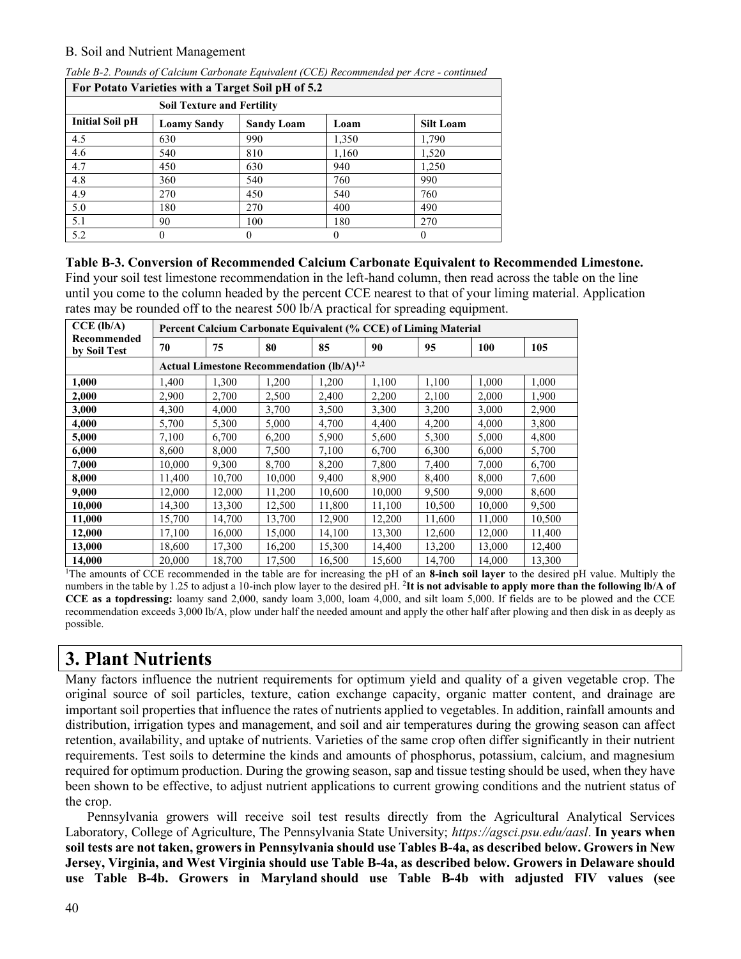| For Potato Varieties with a Target Soil pH of 5.2 |                    |                   |       |                  |  |  |  |  |  |
|---------------------------------------------------|--------------------|-------------------|-------|------------------|--|--|--|--|--|
| <b>Soil Texture and Fertility</b>                 |                    |                   |       |                  |  |  |  |  |  |
| <b>Initial Soil pH</b>                            | <b>Loamy Sandy</b> | <b>Sandy Loam</b> | Loam  | <b>Silt Loam</b> |  |  |  |  |  |
| 4.5                                               | 630                | 990               | 1,350 | 1,790            |  |  |  |  |  |
| 4.6                                               | 540                | 810               | 1,160 | 1,520            |  |  |  |  |  |
| 4.7                                               | 450                | 630               | 940   | 1,250            |  |  |  |  |  |
| 4.8                                               | 360                | 540               | 760   | 990              |  |  |  |  |  |
| 4.9                                               | 270                | 450               | 540   | 760              |  |  |  |  |  |
| 5.0                                               | 180                | 270               | 400   | 490              |  |  |  |  |  |
| 5.1                                               | 90                 | 100               | 180   | 270              |  |  |  |  |  |
| 5.2                                               | 0                  |                   |       | $_{0}$           |  |  |  |  |  |

*Table B-2. Pounds of Calcium Carbonate Equivalent (CCE) Recommended per Acre - continued*

**Table B-3. Conversion of Recommended Calcium Carbonate Equivalent to Recommended Limestone.**  Find your soil test limestone recommendation in the left-hand column, then read across the table on the line until you come to the column headed by the percent CCE nearest to that of your liming material. Application rates may be rounded off to the nearest 500 lb/A practical for spreading equipment.

| $CCE$ (lb/A)                |        | Percent Calcium Carbonate Equivalent (% CCE) of Liming Material |                                                |        |        |        |        |        |  |  |
|-----------------------------|--------|-----------------------------------------------------------------|------------------------------------------------|--------|--------|--------|--------|--------|--|--|
| Recommended<br>by Soil Test | 70     | 75                                                              | 80                                             | 85     | 90     | 95     | 100    | 105    |  |  |
|                             |        |                                                                 | Actual Limestone Recommendation $(lb/A)^{1,2}$ |        |        |        |        |        |  |  |
| 1,000                       | 1,400  | 1,300                                                           | 1,200                                          | 1,200  | 1,100  | 1,100  | 1,000  | 1,000  |  |  |
| 2,000                       | 2,900  | 2,700                                                           | 2,500                                          | 2,400  | 2,200  | 2,100  | 2,000  | 1,900  |  |  |
| 3,000                       | 4,300  | 4,000                                                           | 3,700                                          | 3,500  | 3,300  | 3,200  | 3,000  | 2,900  |  |  |
| 4,000                       | 5,700  | 5,300                                                           | 5,000                                          | 4,700  | 4,400  | 4,200  | 4,000  | 3,800  |  |  |
| 5,000                       | 7,100  | 6,700                                                           | 6,200                                          | 5,900  | 5,600  | 5,300  | 5,000  | 4,800  |  |  |
| 6,000                       | 8,600  | 8,000                                                           | 7,500                                          | 7,100  | 6,700  | 6,300  | 6,000  | 5,700  |  |  |
| 7,000                       | 10.000 | 9,300                                                           | 8,700                                          | 8,200  | 7,800  | 7,400  | 7,000  | 6,700  |  |  |
| 8,000                       | 11.400 | 10,700                                                          | 10,000                                         | 9,400  | 8,900  | 8,400  | 8,000  | 7,600  |  |  |
| 9,000                       | 12,000 | 12,000                                                          | 11,200                                         | 10,600 | 10,000 | 9,500  | 9,000  | 8,600  |  |  |
| 10,000                      | 14,300 | 13,300                                                          | 12,500                                         | 11,800 | 11,100 | 10,500 | 10,000 | 9,500  |  |  |
| 11,000                      | 15,700 | 14,700                                                          | 13,700                                         | 12,900 | 12,200 | 11,600 | 11,000 | 10,500 |  |  |
| 12,000                      | 17,100 | 16,000                                                          | 15,000                                         | 14,100 | 13,300 | 12,600 | 12,000 | 11,400 |  |  |
| 13,000                      | 18,600 | 17,300                                                          | 16,200                                         | 15,300 | 14,400 | 13,200 | 13,000 | 12,400 |  |  |
| 14,000                      | 20,000 | 18,700                                                          | 17,500                                         | 16,500 | 15,600 | 14,700 | 14,000 | 13,300 |  |  |

<sup>1</sup>The amounts of CCE recommended in the table are for increasing the pH of an **8-inch soil layer** to the desired pH value. Multiply the numbers in the table by 1.25 to adjust a 10-inch plow layer to the desired pH. <sup>2</sup>It is not advisable to apply more than the following lb/A of **CCE as a topdressing:** loamy sand 2,000, sandy loam 3,000, loam 4,000, and silt loam 5,000. If fields are to be plowed and the CCE recommendation exceeds 3,000 lb/A, plow under half the needed amount and apply the other half after plowing and then disk in as deeply as possible.

# **3. Plant Nutrients**

Many factors influence the nutrient requirements for optimum yield and quality of a given vegetable crop. The original source of soil particles, texture, cation exchange capacity, organic matter content, and drainage are important soil properties that influence the rates of nutrients applied to vegetables. In addition, rainfall amounts and distribution, irrigation types and management, and soil and air temperatures during the growing season can affect retention, availability, and uptake of nutrients. Varieties of the same crop often differ significantly in their nutrient requirements. Test soils to determine the kinds and amounts of phosphorus, potassium, calcium, and magnesium required for optimum production. During the growing season, sap and tissue testing should be used, when they have been shown to be effective, to adjust nutrient applications to current growing conditions and the nutrient status of the crop.

Pennsylvania growers will receive soil test results directly from the Agricultural Analytical Services Laboratory, College of Agriculture, The Pennsylvania State University; *[https://agsci.psu.edu/aasl](https://nam02.safelinks.protection.outlook.com/?url=https%3A%2F%2Fagsci.psu.edu%2Faasl&data=04%7C01%7Cmmi.vanvuuren%40rutgers.edu%7Cc766cf355df448762ee208d9b4389243%7Cb92d2b234d35447093ff69aca6632ffe%7C1%7C0%7C637738978693691549%7CUnknown%7CTWFpbGZsb3d8eyJWIjoiMC4wLjAwMDAiLCJQIjoiV2luMzIiLCJBTiI6Ik1haWwiLCJXVCI6Mn0%3D%7C3000&sdata=jdyyfGxCNBDvxTYjthySovy70V%2Fbpy79%2FMXuKbVGR3s%3D&reserved=0)*. **In years when soil tests are not taken, growers in Pennsylvania should use Tables B-4a, as described below. Growers in New Jersey, Virginia, and West Virginia should use Table B-4a, as described below. Growers in Delaware should use Table B-4b. Growers in Maryland should use Table B-4b with adjusted FIV values (see**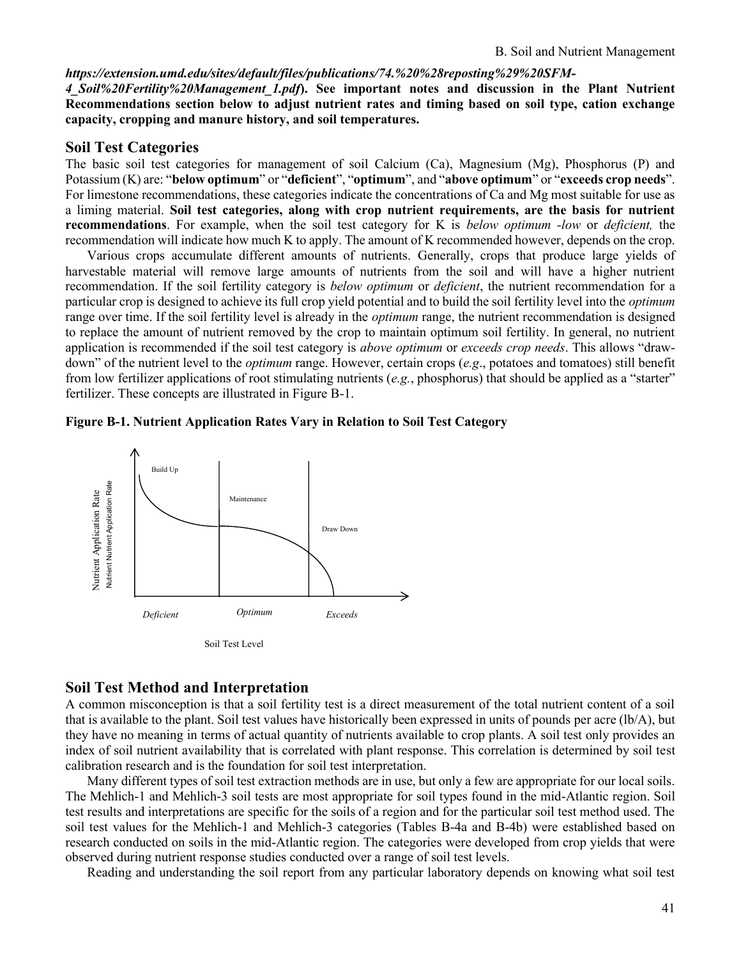#### *[https://extension.umd.edu/sites/default/files/publications/74.%20%28reposting%29%20SFM-](https://extension.umd.edu/sites/default/files/publications/74.%20%28reposting%29%20SFM-4_Soil%20Fertility%20Management_1.pdf)*

*[4\\_Soil%20Fertility%20Management\\_1.pdf](https://extension.umd.edu/sites/default/files/publications/74.%20%28reposting%29%20SFM-4_Soil%20Fertility%20Management_1.pdf)***). See important notes and discussion in the Plant Nutrient Recommendations section below to adjust nutrient rates and timing based on soil type, cation exchange capacity, cropping and manure history, and soil temperatures.**

#### **Soil Test Categories**

The basic soil test categories for management of soil Calcium (Ca), Magnesium (Mg), Phosphorus (P) and Potassium (K) are: "**below optimum**" or "**deficient**", "**optimum**", and "**above optimum**" or "**exceeds crop needs**". For limestone recommendations, these categories indicate the concentrations of Ca and Mg most suitable for use as a liming material. **Soil test categories, along with crop nutrient requirements, are the basis for nutrient recommendations**. For example, when the soil test category for K is *below optimum -low* or *deficient,* the recommendation will indicate how much K to apply. The amount of K recommended however, depends on the crop.

Various crops accumulate different amounts of nutrients. Generally, crops that produce large yields of harvestable material will remove large amounts of nutrients from the soil and will have a higher nutrient recommendation. If the soil fertility category is *below optimum* or *deficient*, the nutrient recommendation for a particular crop is designed to achieve its full crop yield potential and to build the soil fertility level into the *optimum* range over time. If the soil fertility level is already in the *optimum* range, the nutrient recommendation is designed to replace the amount of nutrient removed by the crop to maintain optimum soil fertility. In general, no nutrient application is recommended if the soil test category is *above optimum* or *exceeds crop needs*. This allows "drawdown" of the nutrient level to the *optimum* range. However, certain crops (*e.g*., potatoes and tomatoes) still benefit from low fertilizer applications of root stimulating nutrients (*e.g.*, phosphorus) that should be applied as a "starter" fertilizer. These concepts are illustrated in Figure B-1.

#### **Figure B-1. Nutrient Application Rates Vary in Relation to Soil Test Category**



#### **Soil Test Method and Interpretation**

A common misconception is that a soil fertility test is a direct measurement of the total nutrient content of a soil that is available to the plant. Soil test values have historically been expressed in units of pounds per acre (lb/A), but they have no meaning in terms of actual quantity of nutrients available to crop plants. A soil test only provides an index of soil nutrient availability that is correlated with plant response. This correlation is determined by soil test calibration research and is the foundation for soil test interpretation.

Many different types of soil test extraction methods are in use, but only a few are appropriate for our local soils. The Mehlich-1 and Mehlich-3 soil tests are most appropriate for soil types found in the mid-Atlantic region. Soil test results and interpretations are specific for the soils of a region and for the particular soil test method used. The soil test values for the Mehlich-1 and Mehlich-3 categories (Tables B-4a and B-4b) were established based on research conducted on soils in the mid-Atlantic region. The categories were developed from crop yields that were observed during nutrient response studies conducted over a range of soil test levels.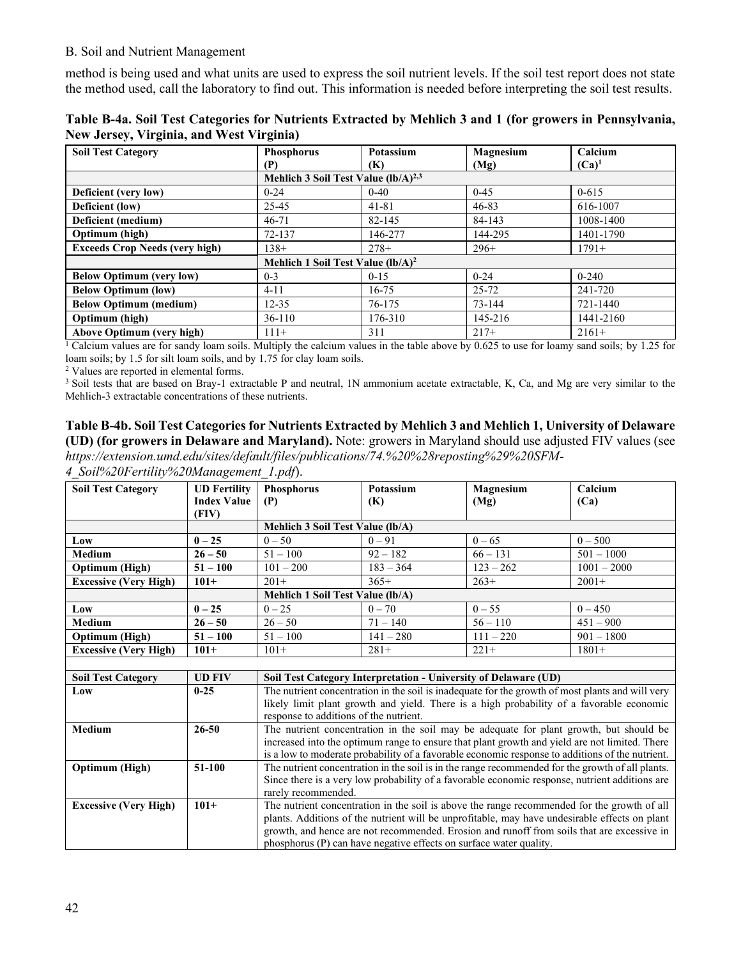method is being used and what units are used to express the soil nutrient levels. If the soil test report does not state the method used, call the laboratory to find out. This information is needed before interpreting the soil test results.

| Table B-4a. Soil Test Categories for Nutrients Extracted by Mehlich 3 and 1 (for growers in Pennsylvania, |  |
|-----------------------------------------------------------------------------------------------------------|--|
| <b>New Jersey, Virginia, and West Virginia)</b>                                                           |  |

| <b>Soil Test Category</b>             | <b>Phosphorus</b>                        | Potassium | Magnesium | Calcium   |
|---------------------------------------|------------------------------------------|-----------|-----------|-----------|
|                                       | (P)                                      | (K)       | (Mg)      | $(Ca)^1$  |
|                                       | Mehlich 3 Soil Test Value $(lb/A)^{2,3}$ |           |           |           |
| Deficient (very low)                  | $0 - 24$                                 | $0 - 40$  | $0-45$    | $0 - 615$ |
| Deficient (low)                       | 25-45                                    | $41 - 81$ | $46 - 83$ | 616-1007  |
| Deficient (medium)                    | $46 - 71$                                | 82-145    | 84-143    | 1008-1400 |
| Optimum (high)                        | 72-137                                   | 146-277   | 144-295   | 1401-1790 |
| <b>Exceeds Crop Needs (very high)</b> | $138+$                                   | $278+$    | $296+$    | $1791+$   |
|                                       | Mehlich 1 Soil Test Value $(lb/A)^2$     |           |           |           |
| <b>Below Optimum (very low)</b>       | $0 - 3$                                  | $0 - 15$  | $0 - 24$  | $0 - 240$ |
| <b>Below Optimum (low)</b>            | $4 - 11$                                 | $16 - 75$ | $25 - 72$ | 241-720   |
| <b>Below Optimum (medium)</b>         | $12 - 35$                                | 76-175    | 73-144    | 721-1440  |
| Optimum (high)                        | $36-110$                                 | 176-310   | 145-216   | 1441-2160 |
| <b>Above Optimum (very high)</b>      | $111+$                                   | 311       | $217+$    | $2161+$   |

<sup>1</sup> Calcium values are for sandy loam soils. Multiply the calcium values in the table above by 0.625 to use for loamy sand soils; by 1.25 for loam soils; by 1.5 for silt loam soils, and by 1.75 for clay loam soils.

<sup>2</sup> Values are reported in elemental forms.

<sup>3</sup> Soil tests that are based on Bray-1 extractable P and neutral, 1N ammonium acetate extractable, K, Ca, and Mg are very similar to the Mehlich-3 extractable concentrations of these nutrients.

#### **Table B-4b. Soil Test Categories for Nutrients Extracted by Mehlich 3 and Mehlich 1, University of Delaware (UD) (for growers in Delaware and Maryland).** Note: growers in Maryland should use adjusted FIV values (see *[https://extension.umd.edu/sites/default/files/publications/74.%20%28reposting%29%20SFM-](https://extension.umd.edu/sites/default/files/publications/74.%20%28reposting%29%20SFM-4_Soil%20Fertility%20Management_1.pdf)*

*[4\\_Soil%20Fertility%20Management\\_1.pdf](https://extension.umd.edu/sites/default/files/publications/74.%20%28reposting%29%20SFM-4_Soil%20Fertility%20Management_1.pdf)*).

| <b>UD</b> Fertility |                           | Potassium                                |                                                                                                                | Calcium                                                                                                                                                                                                                                                                                                                                                                                                                                                                                                                                                                                                                                                                                                                                                                                                                                                                                                                                                                                                                                                                                                                                              |  |  |
|---------------------|---------------------------|------------------------------------------|----------------------------------------------------------------------------------------------------------------|------------------------------------------------------------------------------------------------------------------------------------------------------------------------------------------------------------------------------------------------------------------------------------------------------------------------------------------------------------------------------------------------------------------------------------------------------------------------------------------------------------------------------------------------------------------------------------------------------------------------------------------------------------------------------------------------------------------------------------------------------------------------------------------------------------------------------------------------------------------------------------------------------------------------------------------------------------------------------------------------------------------------------------------------------------------------------------------------------------------------------------------------------|--|--|
| <b>Index Value</b>  | (P)                       | (K)                                      | (Mg)                                                                                                           | (Ca)                                                                                                                                                                                                                                                                                                                                                                                                                                                                                                                                                                                                                                                                                                                                                                                                                                                                                                                                                                                                                                                                                                                                                 |  |  |
| (FIV)               |                           |                                          |                                                                                                                |                                                                                                                                                                                                                                                                                                                                                                                                                                                                                                                                                                                                                                                                                                                                                                                                                                                                                                                                                                                                                                                                                                                                                      |  |  |
|                     |                           |                                          |                                                                                                                |                                                                                                                                                                                                                                                                                                                                                                                                                                                                                                                                                                                                                                                                                                                                                                                                                                                                                                                                                                                                                                                                                                                                                      |  |  |
| $0 - 25$            | $0 - 50$                  | $0 - 91$                                 | $0 - 65$                                                                                                       | $0 - 500$                                                                                                                                                                                                                                                                                                                                                                                                                                                                                                                                                                                                                                                                                                                                                                                                                                                                                                                                                                                                                                                                                                                                            |  |  |
| $26 - 50$           | $51 - 100$                | $92 - 182$                               | $66 - 131$                                                                                                     | $501 - 1000$                                                                                                                                                                                                                                                                                                                                                                                                                                                                                                                                                                                                                                                                                                                                                                                                                                                                                                                                                                                                                                                                                                                                         |  |  |
| $51 - 100$          | $101 - 200$               | $183 - 364$                              | $123 - 262$                                                                                                    | $1001 - 2000$                                                                                                                                                                                                                                                                                                                                                                                                                                                                                                                                                                                                                                                                                                                                                                                                                                                                                                                                                                                                                                                                                                                                        |  |  |
| $101+$              | $201+$                    | $365+$                                   | $263+$                                                                                                         | $2001+$                                                                                                                                                                                                                                                                                                                                                                                                                                                                                                                                                                                                                                                                                                                                                                                                                                                                                                                                                                                                                                                                                                                                              |  |  |
|                     |                           |                                          |                                                                                                                |                                                                                                                                                                                                                                                                                                                                                                                                                                                                                                                                                                                                                                                                                                                                                                                                                                                                                                                                                                                                                                                                                                                                                      |  |  |
| $0 - 25$            | $0 - 25$                  | $0 - 70$                                 | $0 - 55$                                                                                                       | $0 - 450$                                                                                                                                                                                                                                                                                                                                                                                                                                                                                                                                                                                                                                                                                                                                                                                                                                                                                                                                                                                                                                                                                                                                            |  |  |
| $26 - 50$           | $26 - 50$                 | $71 - 140$                               | $56 - 110$                                                                                                     | $451 - 900$                                                                                                                                                                                                                                                                                                                                                                                                                                                                                                                                                                                                                                                                                                                                                                                                                                                                                                                                                                                                                                                                                                                                          |  |  |
| $51 - 100$          | $51 - 100$                | $141 - 280$                              | $111 - 220$                                                                                                    | $901 - 1800$                                                                                                                                                                                                                                                                                                                                                                                                                                                                                                                                                                                                                                                                                                                                                                                                                                                                                                                                                                                                                                                                                                                                         |  |  |
| $101+$              | $101+$                    | $281+$                                   | $221+$                                                                                                         | $1801+$                                                                                                                                                                                                                                                                                                                                                                                                                                                                                                                                                                                                                                                                                                                                                                                                                                                                                                                                                                                                                                                                                                                                              |  |  |
|                     |                           |                                          |                                                                                                                |                                                                                                                                                                                                                                                                                                                                                                                                                                                                                                                                                                                                                                                                                                                                                                                                                                                                                                                                                                                                                                                                                                                                                      |  |  |
| <b>UD FIV</b>       |                           |                                          |                                                                                                                |                                                                                                                                                                                                                                                                                                                                                                                                                                                                                                                                                                                                                                                                                                                                                                                                                                                                                                                                                                                                                                                                                                                                                      |  |  |
| $0 - 25$            |                           |                                          |                                                                                                                |                                                                                                                                                                                                                                                                                                                                                                                                                                                                                                                                                                                                                                                                                                                                                                                                                                                                                                                                                                                                                                                                                                                                                      |  |  |
|                     |                           |                                          |                                                                                                                |                                                                                                                                                                                                                                                                                                                                                                                                                                                                                                                                                                                                                                                                                                                                                                                                                                                                                                                                                                                                                                                                                                                                                      |  |  |
|                     |                           |                                          |                                                                                                                |                                                                                                                                                                                                                                                                                                                                                                                                                                                                                                                                                                                                                                                                                                                                                                                                                                                                                                                                                                                                                                                                                                                                                      |  |  |
|                     |                           |                                          |                                                                                                                |                                                                                                                                                                                                                                                                                                                                                                                                                                                                                                                                                                                                                                                                                                                                                                                                                                                                                                                                                                                                                                                                                                                                                      |  |  |
|                     |                           |                                          |                                                                                                                |                                                                                                                                                                                                                                                                                                                                                                                                                                                                                                                                                                                                                                                                                                                                                                                                                                                                                                                                                                                                                                                                                                                                                      |  |  |
|                     |                           |                                          |                                                                                                                |                                                                                                                                                                                                                                                                                                                                                                                                                                                                                                                                                                                                                                                                                                                                                                                                                                                                                                                                                                                                                                                                                                                                                      |  |  |
|                     |                           |                                          |                                                                                                                |                                                                                                                                                                                                                                                                                                                                                                                                                                                                                                                                                                                                                                                                                                                                                                                                                                                                                                                                                                                                                                                                                                                                                      |  |  |
|                     |                           |                                          |                                                                                                                |                                                                                                                                                                                                                                                                                                                                                                                                                                                                                                                                                                                                                                                                                                                                                                                                                                                                                                                                                                                                                                                                                                                                                      |  |  |
|                     |                           |                                          |                                                                                                                |                                                                                                                                                                                                                                                                                                                                                                                                                                                                                                                                                                                                                                                                                                                                                                                                                                                                                                                                                                                                                                                                                                                                                      |  |  |
|                     |                           |                                          |                                                                                                                |                                                                                                                                                                                                                                                                                                                                                                                                                                                                                                                                                                                                                                                                                                                                                                                                                                                                                                                                                                                                                                                                                                                                                      |  |  |
|                     |                           |                                          |                                                                                                                |                                                                                                                                                                                                                                                                                                                                                                                                                                                                                                                                                                                                                                                                                                                                                                                                                                                                                                                                                                                                                                                                                                                                                      |  |  |
|                     |                           |                                          |                                                                                                                |                                                                                                                                                                                                                                                                                                                                                                                                                                                                                                                                                                                                                                                                                                                                                                                                                                                                                                                                                                                                                                                                                                                                                      |  |  |
|                     | 26-50<br>51-100<br>$101+$ | <b>Phosphorus</b><br>rarely recommended. | Mehlich 3 Soil Test Value (lb/A)<br>Mehlich 1 Soil Test Value (lb/A)<br>response to additions of the nutrient. | Magnesium<br>Soil Test Category Interpretation - University of Delaware (UD)<br>The nutrient concentration in the soil is inadequate for the growth of most plants and will very<br>likely limit plant growth and yield. There is a high probability of a favorable economic<br>The nutrient concentration in the soil may be adequate for plant growth, but should be<br>increased into the optimum range to ensure that plant growth and yield are not limited. There<br>is a low to moderate probability of a favorable economic response to additions of the nutrient.<br>The nutrient concentration in the soil is in the range recommended for the growth of all plants.<br>Since there is a very low probability of a favorable economic response, nutrient additions are<br>The nutrient concentration in the soil is above the range recommended for the growth of all<br>plants. Additions of the nutrient will be unprofitable, may have undesirable effects on plant<br>growth, and hence are not recommended. Erosion and runoff from soils that are excessive in<br>phosphorus (P) can have negative effects on surface water quality. |  |  |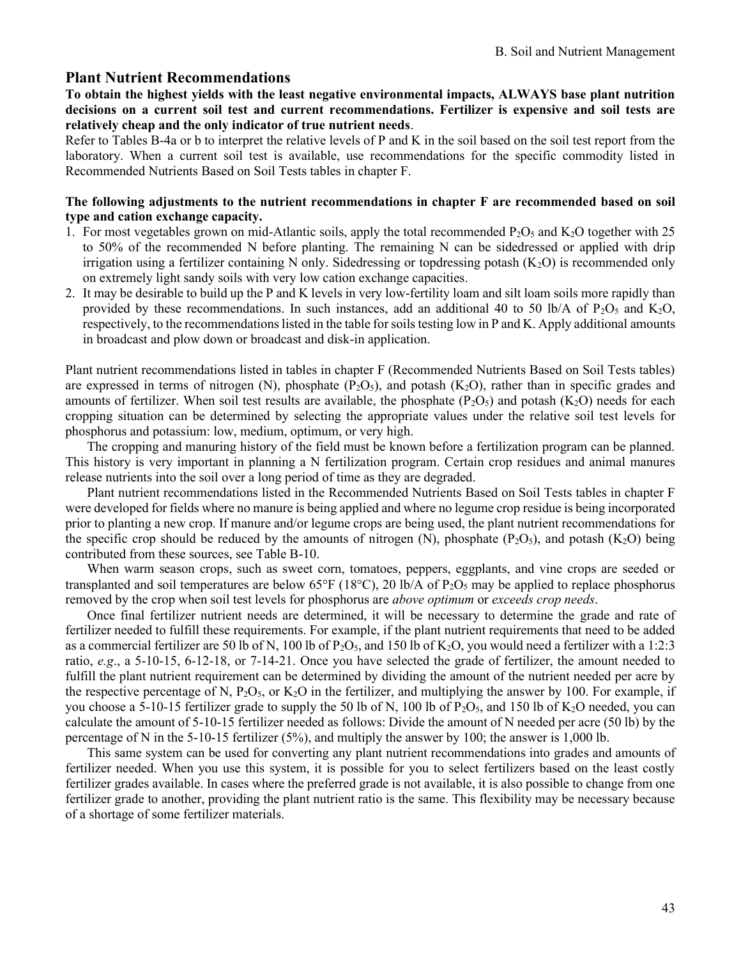#### **Plant Nutrient Recommendations**

#### **To obtain the highest yields with the least negative environmental impacts, ALWAYS base plant nutrition decisions on a current soil test and current recommendations. Fertilizer is expensive and soil tests are relatively cheap and the only indicator of true nutrient needs**.

Refer to Tables B-4a or b to interpret the relative levels of P and K in the soil based on the soil test report from the laboratory. When a current soil test is available, use recommendations for the specific commodity listed in Recommended Nutrients Based on Soil Tests tables in chapter F.

#### **The following adjustments to the nutrient recommendations in chapter F are recommended based on soil type and cation exchange capacity.**

- 1. For most vegetables grown on mid-Atlantic soils, apply the total recommended  $P_2O_5$  and  $K_2O$  together with 25 to 50% of the recommended N before planting. The remaining N can be sidedressed or applied with drip irrigation using a fertilizer containing N only. Sidedressing or topdressing potash  $(K_2O)$  is recommended only on extremely light sandy soils with very low cation exchange capacities.
- 2. It may be desirable to build up the P and K levels in very low-fertility loam and silt loam soils more rapidly than provided by these recommendations. In such instances, add an additional 40 to 50 lb/A of P<sub>2</sub>O<sub>5</sub> and K<sub>2</sub>O, respectively, to the recommendations listed in the table for soils testing low in P and K. Apply additional amounts in broadcast and plow down or broadcast and disk-in application.

Plant nutrient recommendations listed in tables in chapter F (Recommended Nutrients Based on Soil Tests tables) are expressed in terms of nitrogen (N), phosphate ( $P_2O_5$ ), and potash ( $K_2O$ ), rather than in specific grades and amounts of fertilizer. When soil test results are available, the phosphate  $(P_2O_5)$  and potash  $(K_2O)$  needs for each cropping situation can be determined by selecting the appropriate values under the relative soil test levels for phosphorus and potassium: low, medium, optimum, or very high.

The cropping and manuring history of the field must be known before a fertilization program can be planned. This history is very important in planning a N fertilization program. Certain crop residues and animal manures release nutrients into the soil over a long period of time as they are degraded.

Plant nutrient recommendations listed in the Recommended Nutrients Based on Soil Tests tables in chapter F were developed for fields where no manure is being applied and where no legume crop residue is being incorporated prior to planting a new crop. If manure and/or legume crops are being used, the plant nutrient recommendations for the specific crop should be reduced by the amounts of nitrogen  $(N)$ , phosphate  $(P_2O_5)$ , and potash  $(K_2O)$  being contributed from these sources, see Table B-10.

When warm season crops, such as sweet corn, tomatoes, peppers, eggplants, and vine crops are seeded or transplanted and soil temperatures are below 65°F (18°C), 20 lb/A of P<sub>2</sub>O<sub>5</sub> may be applied to replace phosphorus removed by the crop when soil test levels for phosphorus are *above optimum* or *exceeds crop needs*.

Once final fertilizer nutrient needs are determined, it will be necessary to determine the grade and rate of fertilizer needed to fulfill these requirements. For example, if the plant nutrient requirements that need to be added as a commercial fertilizer are 50 lb of N, 100 lb of  $P_2O_5$ , and 150 lb of  $K_2O$ , you would need a fertilizer with a 1:2:3 ratio, *e.g*., a 5-10-15, 6-12-18, or 7-14-21. Once you have selected the grade of fertilizer, the amount needed to fulfill the plant nutrient requirement can be determined by dividing the amount of the nutrient needed per acre by the respective percentage of N,  $P_2O_5$ , or  $K_2O$  in the fertilizer, and multiplying the answer by 100. For example, if you choose a 5-10-15 fertilizer grade to supply the 50 lb of N, 100 lb of P<sub>2</sub>O<sub>5</sub>, and 150 lb of K<sub>2</sub>O needed, you can calculate the amount of 5-10-15 fertilizer needed as follows: Divide the amount of N needed per acre (50 lb) by the percentage of N in the 5-10-15 fertilizer  $(5\%)$ , and multiply the answer by 100; the answer is 1,000 lb.

This same system can be used for converting any plant nutrient recommendations into grades and amounts of fertilizer needed. When you use this system, it is possible for you to select fertilizers based on the least costly fertilizer grades available. In cases where the preferred grade is not available, it is also possible to change from one fertilizer grade to another, providing the plant nutrient ratio is the same. This flexibility may be necessary because of a shortage of some fertilizer materials.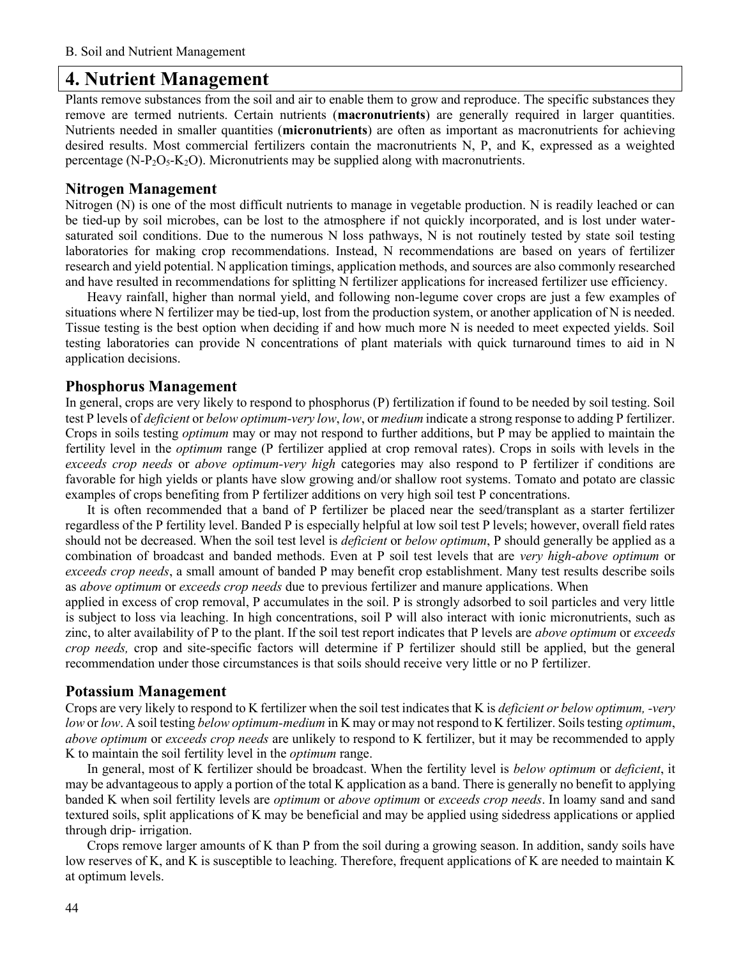# **4. Nutrient Management**

Plants remove substances from the soil and air to enable them to grow and reproduce. The specific substances they remove are termed nutrients. Certain nutrients (**macronutrients**) are generally required in larger quantities. Nutrients needed in smaller quantities (**micronutrients**) are often as important as macronutrients for achieving desired results. Most commercial fertilizers contain the macronutrients N, P, and K, expressed as a weighted percentage (N-P<sub>2</sub>O<sub>5</sub>-K<sub>2</sub>O). Micronutrients may be supplied along with macronutrients.

#### **Nitrogen Management**

Nitrogen (N) is one of the most difficult nutrients to manage in vegetable production. N is readily leached or can be tied-up by soil microbes, can be lost to the atmosphere if not quickly incorporated, and is lost under watersaturated soil conditions. Due to the numerous N loss pathways, N is not routinely tested by state soil testing laboratories for making crop recommendations. Instead, N recommendations are based on years of fertilizer research and yield potential. N application timings, application methods, and sources are also commonly researched and have resulted in recommendations for splitting N fertilizer applications for increased fertilizer use efficiency.

Heavy rainfall, higher than normal yield, and following non-legume cover crops are just a few examples of situations where N fertilizer may be tied-up, lost from the production system, or another application of N is needed. Tissue testing is the best option when deciding if and how much more N is needed to meet expected yields. Soil testing laboratories can provide N concentrations of plant materials with quick turnaround times to aid in N application decisions.

#### **Phosphorus Management**

In general, crops are very likely to respond to phosphorus (P) fertilization if found to be needed by soil testing. Soil test P levels of *deficient* or *below optimum-very low*, *low*, or *medium* indicate a strong response to adding P fertilizer. Crops in soils testing *optimum* may or may not respond to further additions, but P may be applied to maintain the fertility level in the *optimum* range (P fertilizer applied at crop removal rates). Crops in soils with levels in the *exceeds crop needs* or *above optimum-very high* categories may also respond to P fertilizer if conditions are favorable for high yields or plants have slow growing and/or shallow root systems. Tomato and potato are classic examples of crops benefiting from P fertilizer additions on very high soil test P concentrations.

It is often recommended that a band of P fertilizer be placed near the seed/transplant as a starter fertilizer regardless of the P fertility level. Banded P is especially helpful at low soil test P levels; however, overall field rates should not be decreased. When the soil test level is *deficient* or *below optimum*, P should generally be applied as a combination of broadcast and banded methods. Even at P soil test levels that are *very high-above optimum* or *exceeds crop needs*, a small amount of banded P may benefit crop establishment. Many test results describe soils as *above optimum* or *exceeds crop needs* due to previous fertilizer and manure applications. When

applied in excess of crop removal, P accumulates in the soil. P is strongly adsorbed to soil particles and very little is subject to loss via leaching. In high concentrations, soil P will also interact with ionic micronutrients, such as zinc, to alter availability of P to the plant. If the soil test report indicates that P levels are *above optimum* or *exceeds crop needs,* crop and site-specific factors will determine if P fertilizer should still be applied, but the general recommendation under those circumstances is that soils should receive very little or no P fertilizer.

#### **Potassium Management**

Crops are very likely to respond to K fertilizer when the soil test indicates that K is *deficient or below optimum, -very low* or *low*. A soil testing *below optimum-medium* in K may or may not respond to K fertilizer. Soils testing *optimum*, *above optimum* or *exceeds crop needs* are unlikely to respond to K fertilizer, but it may be recommended to apply K to maintain the soil fertility level in the *optimum* range.

In general, most of K fertilizer should be broadcast. When the fertility level is *below optimum* or *deficient*, it may be advantageous to apply a portion of the total K application as a band. There is generally no benefit to applying banded K when soil fertility levels are *optimum* or *above optimum* or *exceeds crop needs*. In loamy sand and sand textured soils, split applications of K may be beneficial and may be applied using sidedress applications or applied through drip- irrigation.

Crops remove larger amounts of K than P from the soil during a growing season. In addition, sandy soils have low reserves of K, and K is susceptible to leaching. Therefore, frequent applications of K are needed to maintain K at optimum levels.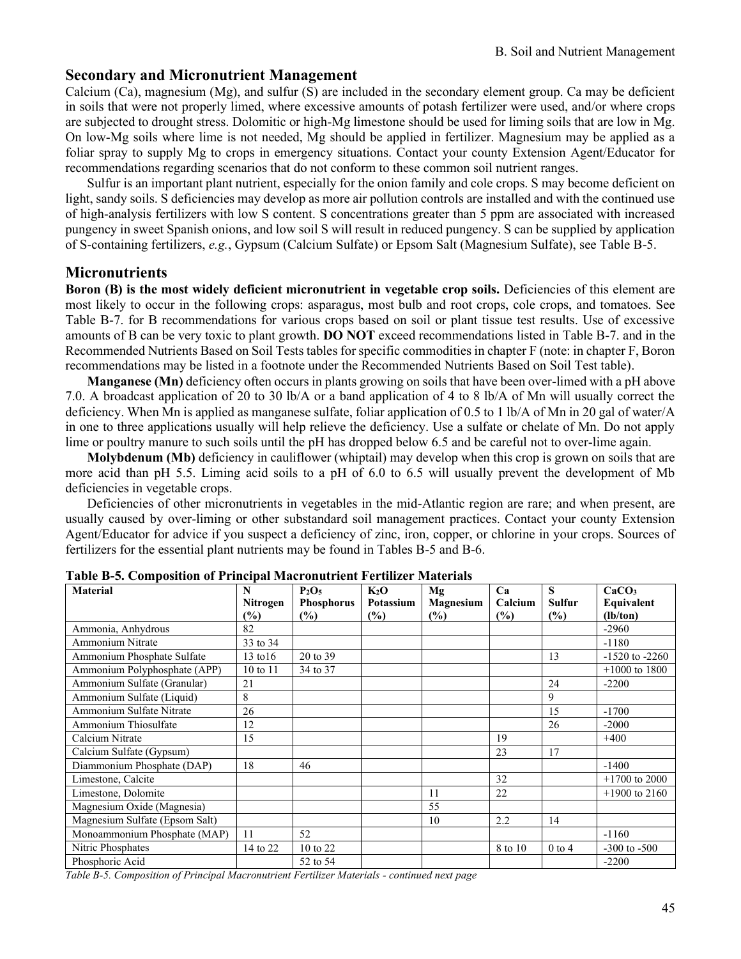### **Secondary and Micronutrient Management**

Calcium (Ca), magnesium (Mg), and sulfur (S) are included in the secondary element group. Ca may be deficient in soils that were not properly limed, where excessive amounts of potash fertilizer were used, and/or where crops are subjected to drought stress. Dolomitic or high-Mg limestone should be used for liming soils that are low in Mg. On low-Mg soils where lime is not needed, Mg should be applied in fertilizer. Magnesium may be applied as a foliar spray to supply Mg to crops in emergency situations. Contact your county Extension Agent/Educator for recommendations regarding scenarios that do not conform to these common soil nutrient ranges.

Sulfur is an important plant nutrient, especially for the onion family and cole crops. S may become deficient on light, sandy soils. S deficiencies may develop as more air pollution controls are installed and with the continued use of high-analysis fertilizers with low S content. S concentrations greater than 5 ppm are associated with increased pungency in sweet Spanish onions, and low soil S will result in reduced pungency. S can be supplied by application of S-containing fertilizers, *e.g.*, Gypsum (Calcium Sulfate) or Epsom Salt (Magnesium Sulfate), see Table B-5.

#### **Micronutrients**

**Boron (B) is the most widely deficient micronutrient in vegetable crop soils.** Deficiencies of this element are most likely to occur in the following crops: asparagus, most bulb and root crops, cole crops, and tomatoes. See Table B-7. for B recommendations for various crops based on soil or plant tissue test results. Use of excessive amounts of B can be very toxic to plant growth. **DO NOT** exceed recommendations listed in Table B-7. and in the Recommended Nutrients Based on Soil Tests tables for specific commodities in chapter F (note: in chapter F, Boron recommendations may be listed in a footnote under the Recommended Nutrients Based on Soil Test table).

**Manganese (Mn)** deficiency often occurs in plants growing on soils that have been over-limed with a pH above 7.0. A broadcast application of 20 to 30 lb/A or a band application of 4 to 8 lb/A of Mn will usually correct the deficiency. When Mn is applied as manganese sulfate, foliar application of 0.5 to 1 lb/A of Mn in 20 gal of water/A in one to three applications usually will help relieve the deficiency. Use a sulfate or chelate of Mn. Do not apply lime or poultry manure to such soils until the pH has dropped below 6.5 and be careful not to over-lime again.

**Molybdenum (Mb)** deficiency in cauliflower (whiptail) may develop when this crop is grown on soils that are more acid than pH 5.5. Liming acid soils to a pH of 6.0 to 6.5 will usually prevent the development of Mb deficiencies in vegetable crops.

Deficiencies of other micronutrients in vegetables in the mid-Atlantic region are rare; and when present, are usually caused by over-liming or other substandard soil management practices. Contact your county Extension Agent/Educator for advice if you suspect a deficiency of zinc, iron, copper, or chlorine in your crops. Sources of fertilizers for the essential plant nutrients may be found in Tables B-5 and B-6.

| <b>Material</b>                | N                   | P <sub>2</sub> O <sub>5</sub> | $K_2O$    | Mg            | Ca      | S             | CaCO <sub>3</sub>  |
|--------------------------------|---------------------|-------------------------------|-----------|---------------|---------|---------------|--------------------|
|                                | Nitrogen            | <b>Phosphorus</b>             | Potassium | Magnesium     | Calcium | <b>Sulfur</b> | Equivalent         |
|                                | (%)                 | (%)                           | (%)       | $\frac{9}{6}$ | (%)     | (%)           | (lb/ton)           |
| Ammonia, Anhydrous             | 82                  |                               |           |               |         |               | $-2960$            |
| Ammonium Nitrate               | 33 to 34            |                               |           |               |         |               | $-1180$            |
| Ammonium Phosphate Sulfate     | $13 \text{ to } 16$ | 20 to 39                      |           |               |         | 13            | $-1520$ to $-2260$ |
| Ammonium Polyphosphate (APP)   | $10 \text{ to } 11$ | 34 to 37                      |           |               |         |               | $+1000$ to 1800    |
| Ammonium Sulfate (Granular)    | 21                  |                               |           |               |         | 24            | $-2200$            |
| Ammonium Sulfate (Liquid)      | 8                   |                               |           |               |         | 9             |                    |
| Ammonium Sulfate Nitrate       | 26                  |                               |           |               |         | 15            | $-1700$            |
| Ammonium Thiosulfate           | 12                  |                               |           |               |         | 26            | $-2000$            |
| Calcium Nitrate                | 15                  |                               |           |               | 19      |               | $+400$             |
| Calcium Sulfate (Gypsum)       |                     |                               |           |               | 23      | 17            |                    |
| Diammonium Phosphate (DAP)     | 18                  | 46                            |           |               |         |               | $-1400$            |
| Limestone, Calcite             |                     |                               |           |               | 32      |               | $+1700$ to 2000    |
| Limestone, Dolomite            |                     |                               |           | 11            | 22      |               | $+1900$ to 2160    |
| Magnesium Oxide (Magnesia)     |                     |                               |           | 55            |         |               |                    |
| Magnesium Sulfate (Epsom Salt) |                     |                               |           | 10            | 2.2     | 14            |                    |
| Monoammonium Phosphate (MAP)   | 11                  | 52                            |           |               |         |               | $-1160$            |
| Nitric Phosphates              | 14 to 22            | 10 to 22                      |           |               | 8 to 10 | $0$ to 4      | $-300$ to $-500$   |
| Phosphoric Acid                |                     | 52 to 54                      |           |               |         |               | $-2200$            |

**Table B-5. Composition of Principal Macronutrient Fertilizer Materials**

*Table B-5. Composition of Principal Macronutrient Fertilizer Materials - continued next page*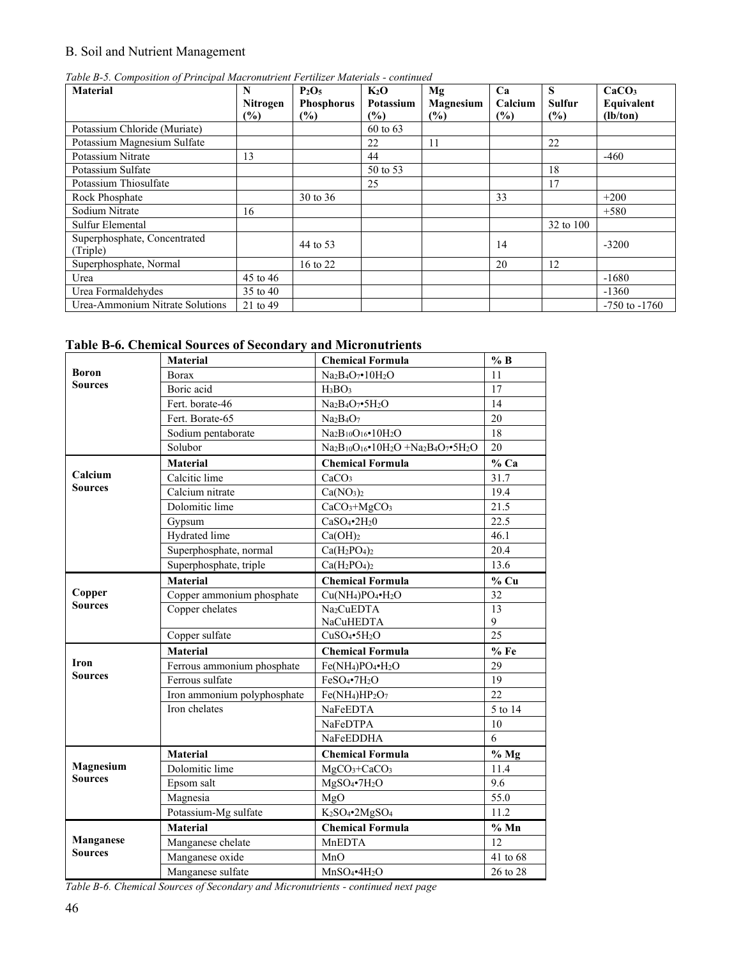|  | Table B-5. Composition of Principal Macronutrient Fertilizer Materials - continued |  |  |
|--|------------------------------------------------------------------------------------|--|--|
|  |                                                                                    |  |  |

| <b>Material</b>                 | N        | $P_2O_5$          | $K_2O$        | Mg        | Ca      | S             | CaCO <sub>3</sub> |
|---------------------------------|----------|-------------------|---------------|-----------|---------|---------------|-------------------|
|                                 | Nitrogen | <b>Phosphorus</b> | Potassium     | Magnesium | Calcium | <b>Sulfur</b> | Equivalent        |
|                                 | (%)      | $\frac{6}{2}$     | $\frac{9}{6}$ | (%)       | (%)     | $(\%)$        | (lb/ton)          |
| Potassium Chloride (Muriate)    |          |                   | 60 to 63      |           |         |               |                   |
| Potassium Magnesium Sulfate     |          |                   | 22            | 11        |         | 22            |                   |
| Potassium Nitrate               | 13       |                   | 44            |           |         |               | $-460$            |
| Potassium Sulfate               |          |                   | 50 to 53      |           |         | 18            |                   |
| Potassium Thiosulfate           |          |                   | 25            |           |         | 17            |                   |
| Rock Phosphate                  |          | 30 to 36          |               |           | 33      |               | $+200$            |
| Sodium Nitrate                  | 16       |                   |               |           |         |               | $+580$            |
| Sulfur Elemental                |          |                   |               |           |         | 32 to 100     |                   |
| Superphosphate, Concentrated    |          | 44 to 53          |               |           | 14      |               | $-3200$           |
| (Triple)                        |          |                   |               |           |         |               |                   |
| Superphosphate, Normal          |          | 16 to 22          |               |           | 20      | 12            |                   |
| Urea                            | 45 to 46 |                   |               |           |         |               | $-1680$           |
| Urea Formaldehydes              | 35 to 40 |                   |               |           |         |               | $-1360$           |
| Urea-Ammonium Nitrate Solutions | 21 to 49 |                   |               |           |         |               | $-750$ to $-1760$ |

# **Table B-6. Chemical Sources of Secondary and Micronutrients**

|                | Material                    | <b>Chemical Formula</b>                                                                                  | $\%$ B          |
|----------------|-----------------------------|----------------------------------------------------------------------------------------------------------|-----------------|
| <b>Boron</b>   | <b>Borax</b>                | Na <sub>2</sub> B <sub>4</sub> O <sub>7</sub> •10H <sub>2</sub> O                                        | 11              |
| <b>Sources</b> | Boric acid                  | $H_3BO_3$                                                                                                | 17              |
|                | Fert. borate-46             | Na <sub>2</sub> B <sub>4</sub> O <sub>7</sub> •5H <sub>2</sub> O                                         | 14              |
|                | Fert. Borate-65             | Na <sub>2</sub> B <sub>4</sub> O <sub>7</sub>                                                            | 20              |
|                | Sodium pentaborate          | Na <sub>2</sub> B <sub>10</sub> O <sub>16</sub> ·10H <sub>2</sub> O                                      | 18              |
|                | Solubor                     | $Na_2B_{10}O_{16}$ •10H <sub>2</sub> O +Na <sub>2</sub> B <sub>4</sub> O <sub>7</sub> •5H <sub>2</sub> O | 20              |
|                | <b>Material</b>             | <b>Chemical Formula</b>                                                                                  | $%$ Ca          |
| Calcium        | Calcitic lime               | CaCO <sub>3</sub>                                                                                        | 31.7            |
| <b>Sources</b> | Calcium nitrate             | Ca(NO <sub>3</sub> ) <sub>2</sub>                                                                        | 19.4            |
|                | Dolomitic lime              | CaCO <sub>3</sub> +MgCO <sub>3</sub>                                                                     | 21.5            |
|                | Gypsum                      | CaSO <sub>4</sub> •2H <sub>2</sub> 0                                                                     | 22.5            |
|                | Hydrated lime               | Ca(OH) <sub>2</sub>                                                                                      | 46.1            |
|                | Superphosphate, normal      | $Ca(H_2PO_4)_2$                                                                                          | 20.4            |
|                | Superphosphate, triple      | $Ca(H_2PO_4)_2$                                                                                          | 13.6            |
|                | <b>Material</b>             | <b>Chemical Formula</b>                                                                                  | $%$ Cu          |
| Copper         | Copper ammonium phosphate   | $Cu(NH4)PO4•H2O$                                                                                         | 32              |
| <b>Sources</b> | Copper chelates             | Na <sub>2</sub> CuEDTA                                                                                   | $\overline{13}$ |
|                |                             | NaCuHEDTA                                                                                                | 9               |
|                | Copper sulfate              | CuSO <sub>4</sub> •5H <sub>2</sub> O                                                                     | 25              |
|                | <b>Material</b>             | <b>Chemical Formula</b>                                                                                  | %Fe             |
| <b>Iron</b>    | Ferrous ammonium phosphate  | $Fe(NH4)PO4·H2O$                                                                                         | 29              |
| <b>Sources</b> | Ferrous sulfate             | FeSO <sub>4</sub> •7H <sub>2</sub> O                                                                     | 19              |
|                | Iron ammonium polyphosphate | Fe(NH <sub>4</sub> )HP <sub>2</sub> O <sub>7</sub>                                                       | 22              |
|                | Iron chelates               | NaFeEDTA                                                                                                 | 5 to 14         |
|                |                             | <b>NaFeDTPA</b>                                                                                          | 10              |
|                |                             | NaFeEDDHA                                                                                                | 6               |
|                | <b>Material</b>             | <b>Chemical Formula</b>                                                                                  | $%$ Mg          |
| Magnesium      | Dolomitic lime              | $MgCO3+CaCO3$                                                                                            | 11.4            |
| <b>Sources</b> | Epsom salt                  | $MgSO_4\bullet7H_2O$                                                                                     | 9.6             |
|                | Magnesia                    | MgO                                                                                                      | 55.0            |
|                | Potassium-Mg sulfate        | K <sub>2</sub> SO <sub>4</sub> •2MgSO <sub>4</sub>                                                       | 11.2            |
|                | <b>Material</b>             | <b>Chemical Formula</b>                                                                                  | $%$ Mn          |
| Manganese      | Manganese chelate           | MnEDTA                                                                                                   | 12              |
| <b>Sources</b> | Manganese oxide             | MnO                                                                                                      | 41 to 68        |
|                | Manganese sulfate           | $MnSO_4$ •4 $H_2O$                                                                                       | 26 to 28        |

*Table B-6. Chemical Sources of Secondary and Micronutrients - continued next page*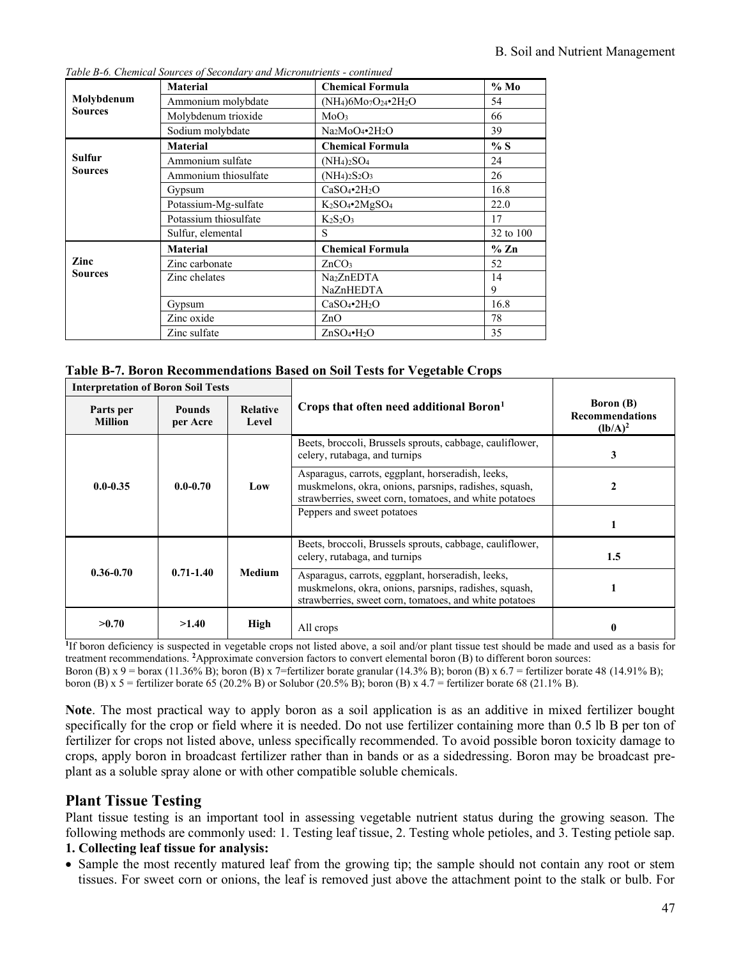|                | <b>Material</b>       | <b>Chemical Formula</b>                             | $%$ Mo          |
|----------------|-----------------------|-----------------------------------------------------|-----------------|
| Molybdenum     | Ammonium molybdate    | $(NH_4)6Mo_7O_{24}$ •2H <sub>2</sub> O              | 54              |
| <b>Sources</b> | Molybdenum trioxide   | MoO <sub>3</sub>                                    | 66              |
|                | Sodium molybdate      | Na <sub>2</sub> MoO <sub>4</sub> •2H <sub>2</sub> O | 39              |
|                | <b>Material</b>       | <b>Chemical Formula</b>                             | % S             |
| Sulfur         | Ammonium sulfate      | $(NH_4)_2SO_4$                                      | 24              |
| <b>Sources</b> | Ammonium thiosulfate  | $(NH_4)_2S_2O_3$                                    | 26              |
|                | Gypsum                | $CaSO_4$ •2 $H_2O$                                  | 16.8            |
|                | Potassium-Mg-sulfate  | $K_2SO_4$ •2 $MgSO_4$                               | 22.0            |
|                | Potassium thiosulfate | $K_2S_2O_3$                                         | 17              |
|                | Sulfur, elemental     | S                                                   | 32 to 100       |
|                | <b>Material</b>       | <b>Chemical Formula</b>                             | $% \mathbb{Z}n$ |
| Zinc           | Zinc carbonate        | ZnCO <sub>3</sub>                                   | 52              |
| <b>Sources</b> | Zinc chelates         | Na <sub>2</sub> ZnEDTA                              | 14              |
|                |                       | NaZnHEDTA                                           | 9               |
|                | Gypsum                | $CaSO_4$ • $2H_2O$                                  | 16.8            |
|                | Zinc oxide            | ZnO                                                 | 78              |
|                | Zinc sulfate          | $ZnSO_4\bullet H_2O$                                | 35              |

*Table B-6. Chemical Sources of Secondary and Micronutrients - continued*

|  | Table B-7. Boron Recommendations Based on Soil Tests for Vegetable Crops |  |  |  |
|--|--------------------------------------------------------------------------|--|--|--|
|  |                                                                          |  |  |  |

| <b>Interpretation of Boron Soil Tests</b> |                           |                          |                                                                                                                                                                      |                                                          |
|-------------------------------------------|---------------------------|--------------------------|----------------------------------------------------------------------------------------------------------------------------------------------------------------------|----------------------------------------------------------|
| Parts per<br><b>Million</b>               | <b>Pounds</b><br>per Acre | <b>Relative</b><br>Level | Crops that often need additional Boron <sup>1</sup>                                                                                                                  | <b>Boron</b> (B)<br><b>Recommendations</b><br>$(lb/A)^2$ |
|                                           |                           |                          | Beets, broccoli, Brussels sprouts, cabbage, cauliflower,<br>celery, rutabaga, and turnips                                                                            | 3                                                        |
| $0.0 - 0.35$                              | $0.0 - 0.70$              | Low                      | Asparagus, carrots, eggplant, horseradish, leeks,<br>muskmelons, okra, onions, parsnips, radishes, squash,<br>strawberries, sweet corn, tomatoes, and white potatoes | $\mathbf{2}$                                             |
|                                           |                           |                          | Peppers and sweet potatoes                                                                                                                                           |                                                          |
|                                           |                           |                          | Beets, broccoli, Brussels sprouts, cabbage, cauliflower,<br>celery, rutabaga, and turnips                                                                            | 1.5                                                      |
| $0.36 - 0.70$                             | $0.71 - 1.40$             | <b>Medium</b>            | Asparagus, carrots, eggplant, horseradish, leeks,<br>muskmelons, okra, onions, parsnips, radishes, squash,<br>strawberries, sweet corn, tomatoes, and white potatoes |                                                          |
| >0.70                                     | >1.40                     | High                     | All crops                                                                                                                                                            |                                                          |

**1** If boron deficiency is suspected in vegetable crops not listed above, a soil and/or plant tissue test should be made and used as a basis for treatment recommendations. **<sup>2</sup>**Approximate conversion factors to convert elemental boron (B) to different boron sources:

Boron (B) x 9 = borax (11.36% B); boron (B) x 7=fertilizer borate granular (14.3% B); boron (B) x 6.7 = fertilizer borate 48 (14.91% B); boron (B) x 5 = fertilizer borate 65 (20.2% B) or Solubor (20.5% B); boron (B) x 4.7 = fertilizer borate 68 (21.1% B).

**Note**. The most practical way to apply boron as a soil application is as an additive in mixed fertilizer bought specifically for the crop or field where it is needed. Do not use fertilizer containing more than 0.5 lb B per ton of fertilizer for crops not listed above, unless specifically recommended. To avoid possible boron toxicity damage to crops, apply boron in broadcast fertilizer rather than in bands or as a sidedressing. Boron may be broadcast preplant as a soluble spray alone or with other compatible soluble chemicals.

# **Plant Tissue Testing**

Plant tissue testing is an important tool in assessing vegetable nutrient status during the growing season. The following methods are commonly used: 1. Testing leaf tissue, 2. Testing whole petioles, and 3. Testing petiole sap.

### **1. Collecting leaf tissue for analysis:**

• Sample the most recently matured leaf from the growing tip; the sample should not contain any root or stem tissues. For sweet corn or onions, the leaf is removed just above the attachment point to the stalk or bulb. For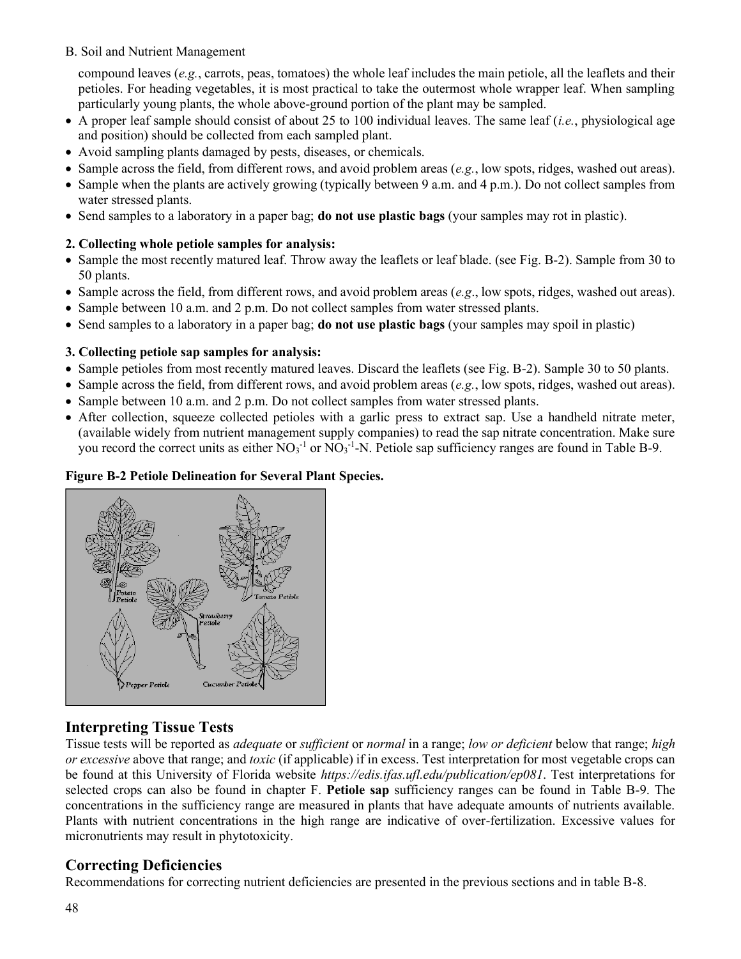compound leaves (*e.g.*, carrots, peas, tomatoes) the whole leaf includes the main petiole, all the leaflets and their petioles. For heading vegetables, it is most practical to take the outermost whole wrapper leaf. When sampling particularly young plants, the whole above-ground portion of the plant may be sampled.

- A proper leaf sample should consist of about 25 to 100 individual leaves. The same leaf (*i.e.*, physiological age and position) should be collected from each sampled plant.
- Avoid sampling plants damaged by pests, diseases, or chemicals.
- Sample across the field, from different rows, and avoid problem areas (*e.g.*, low spots, ridges, washed out areas).
- Sample when the plants are actively growing (typically between 9 a.m. and 4 p.m.). Do not collect samples from water stressed plants.
- Send samples to a laboratory in a paper bag; **do not use plastic bags** (your samples may rot in plastic).

#### **2. Collecting whole petiole samples for analysis:**

- Sample the most recently matured leaf. Throw away the leaflets or leaf blade. (see Fig. B-2). Sample from 30 to 50 plants.
- Sample across the field, from different rows, and avoid problem areas (*e.g*., low spots, ridges, washed out areas).
- Sample between 10 a.m. and 2 p.m. Do not collect samples from water stressed plants.
- Send samples to a laboratory in a paper bag; **do not use plastic bags** (your samples may spoil in plastic)

#### **3. Collecting petiole sap samples for analysis:**

- Sample petioles from most recently matured leaves. Discard the leaflets (see Fig. B-2). Sample 30 to 50 plants.
- Sample across the field, from different rows, and avoid problem areas (*e.g.*, low spots, ridges, washed out areas).
- Sample between 10 a.m. and 2 p.m. Do not collect samples from water stressed plants.
- After collection, squeeze collected petioles with a garlic press to extract sap. Use a handheld nitrate meter, (available widely from nutrient management supply companies) to read the sap nitrate concentration. Make sure you record the correct units as either  $NO_3$ <sup>-1</sup> or  $NO_3$ <sup>-1</sup>-N. Petiole sap sufficiency ranges are found in Table B-9.

#### **Figure B-2 Petiole Delineation for Several Plant Species.**



# **Interpreting Tissue Tests**

Tissue tests will be reported as *adequate* or *sufficient* or *normal* in a range; *low or deficient* below that range; *high or excessive* above that range; and *toxic* (if applicable) if in excess. Test interpretation for most vegetable crops can be found at this University of Florida website *<https://edis.ifas.ufl.edu/publication/ep081>*. Test interpretations for selected crops can also be found in chapter F. **Petiole sap** sufficiency ranges can be found in Table B-9. The concentrations in the sufficiency range are measured in plants that have adequate amounts of nutrients available. Plants with nutrient concentrations in the high range are indicative of over-fertilization. Excessive values for micronutrients may result in phytotoxicity.

# **Correcting Deficiencies**

Recommendations for correcting nutrient deficiencies are presented in the previous sections and in table B-8.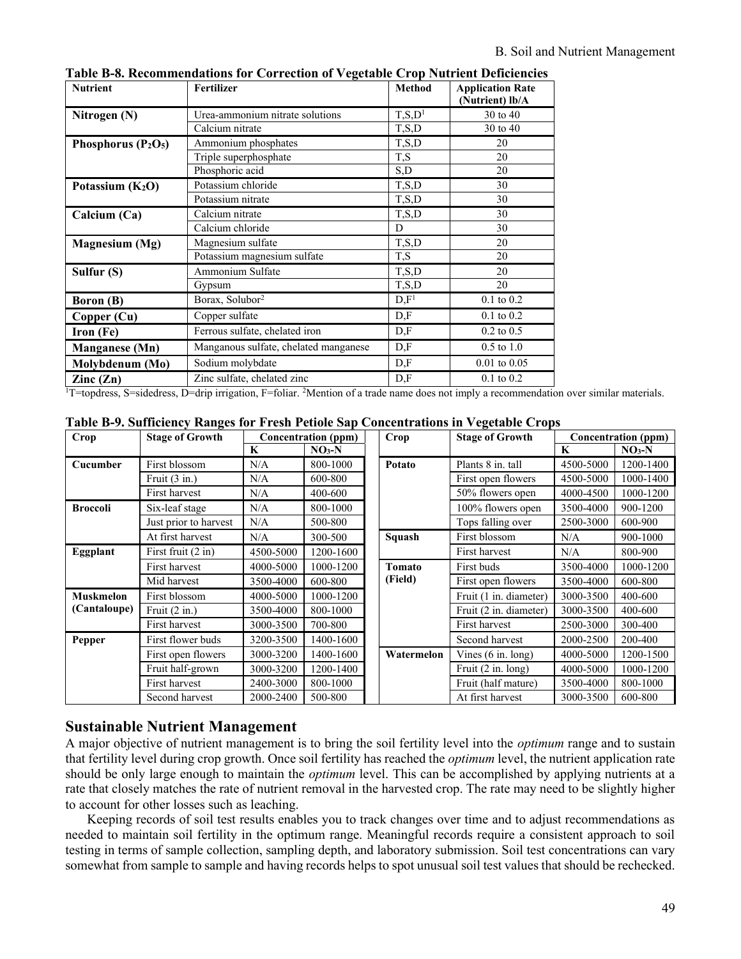| <b>Nutrient</b>          | <b>Fertilizer</b>                     | <b>Method</b>        | <b>Application Rate</b><br>(Nutrient) lb/A |
|--------------------------|---------------------------------------|----------------------|--------------------------------------------|
| Nitrogen (N)             | Urea-ammonium nitrate solutions       | T, S, D <sup>1</sup> | 30 to 40                                   |
|                          | Calcium nitrate                       | T, S, D              | 30 to 40                                   |
| Phosphorus $(P_2O_5)$    | Ammonium phosphates                   | T, S, D              | 20                                         |
|                          | Triple superphosphate                 | T,S                  | 20                                         |
|                          | Phosphoric acid                       | S,D                  | 20                                         |
| Potassium $(K_2O)$       | Potassium chloride                    | T, S, D              | 30                                         |
|                          | Potassium nitrate                     | T, S, D              | 30                                         |
| Calcium (Ca)             | Calcium nitrate                       | T, S, D              | 30                                         |
|                          | Calcium chloride                      | D                    | 30                                         |
| Magnesium (Mg)           | Magnesium sulfate                     | T, S, D              | 20                                         |
|                          | Potassium magnesium sulfate           | T,S                  | 20                                         |
| Sulfur (S)               | Ammonium Sulfate                      | T, S, D              | 20                                         |
|                          | Gypsum                                | T, S, D              | 20                                         |
| <b>Boron</b> (B)         | Borax, Solubor <sup>2</sup>           | D.F <sup>1</sup>     | $0.1$ to $0.2$                             |
| Copper (Cu)              | Copper sulfate                        | D,F                  | $0.1$ to $0.2$                             |
| Iron (Fe)                | Ferrous sulfate, chelated iron        | D,F                  | $0.2$ to $0.5$                             |
| <b>Manganese</b> (Mn)    | Manganous sulfate, chelated manganese | D,F                  | $0.5$ to $1.0$                             |
| Molybdenum (Mo)          | Sodium molybdate                      | D,F                  | $0.01$ to $0.05$                           |
| $\text{Zinc}(\text{Zn})$ | Zinc sulfate, chelated zinc           | D,F                  | $0.1$ to $0.2$                             |

**Table B-8. Recommendations for Correction of Vegetable Crop Nutrient Deficiencies**

<sup>1</sup>T=topdress, S=sidedress, D=drip irrigation, F=foliar. <sup>2</sup>Mention of a trade name does not imply a recommendation over similar materials.

|  |  |  |  |  | Table B-9. Sufficiency Ranges for Fresh Petiole Sap Concentrations in Vegetable Crops |  |  |
|--|--|--|--|--|---------------------------------------------------------------------------------------|--|--|
|--|--|--|--|--|---------------------------------------------------------------------------------------|--|--|

| Crop             | <b>Stage of Growth</b>  | <b>Concentration (ppm)</b> |           | Crop       | <b>Stage of Growth</b>       | <b>Concentration (ppm)</b> |           |  |
|------------------|-------------------------|----------------------------|-----------|------------|------------------------------|----------------------------|-----------|--|
|                  |                         | K                          | $NO3-N$   |            |                              | K                          | $NO3-N$   |  |
| Cucumber         | First blossom           | N/A                        | 800-1000  | Potato     | Plants 8 in. tall            | 4500-5000                  | 1200-1400 |  |
|                  | Fruit $(3 \text{ in.})$ | N/A                        | 600-800   |            | First open flowers           | 4500-5000                  | 1000-1400 |  |
|                  | First harvest           | N/A                        | 400-600   |            | 50% flowers open             | 4000-4500                  | 1000-1200 |  |
| <b>Broccoli</b>  | Six-leaf stage          | N/A                        | 800-1000  |            | 100% flowers open            | 3500-4000                  | 900-1200  |  |
|                  | Just prior to harvest   | N/A                        | 500-800   |            | Tops falling over            | 2500-3000                  | 600-900   |  |
|                  | At first harvest        | N/A                        | 300-500   | Squash     | First blossom                | N/A                        | 900-1000  |  |
| Eggplant         | First fruit (2 in)      | 4500-5000                  | 1200-1600 |            | First harvest                | N/A                        | 800-900   |  |
|                  | First harvest           | 4000-5000                  | 1000-1200 | Tomato     | First buds                   | 3500-4000                  | 1000-1200 |  |
|                  | Mid harvest             | 3500-4000                  | 600-800   | (Field)    | First open flowers           | 3500-4000                  | 600-800   |  |
| <b>Muskmelon</b> | First blossom           | 4000-5000                  | 1000-1200 |            | Fruit (1 in. diameter)       | 3000-3500                  | 400-600   |  |
| (Cantaloupe)     | Fruit $(2 \text{ in.})$ | 3500-4000                  | 800-1000  |            | Fruit (2 in. diameter)       | 3000-3500                  | 400-600   |  |
|                  | First harvest           | 3000-3500                  | 700-800   |            | First harvest                | 2500-3000                  | 300-400   |  |
| Pepper           | First flower buds       | 3200-3500                  | 1400-1600 |            | Second harvest               | 2000-2500                  | 200-400   |  |
|                  | First open flowers      | 3000-3200                  | 1400-1600 | Watermelon | Vines $(6 \text{ in. long})$ | 4000-5000                  | 1200-1500 |  |
|                  | Fruit half-grown        | 3000-3200                  | 1200-1400 |            | Fruit $(2 \text{ in. long})$ | 4000-5000                  | 1000-1200 |  |
|                  | First harvest           | 2400-3000                  | 800-1000  |            | Fruit (half mature)          | 3500-4000                  | 800-1000  |  |
|                  | Second harvest          | 2000-2400                  | 500-800   |            | At first harvest             | 3000-3500                  | 600-800   |  |

# **Sustainable Nutrient Management**

A major objective of nutrient management is to bring the soil fertility level into the *optimum* range and to sustain that fertility level during crop growth. Once soil fertility has reached the *optimum* level, the nutrient application rate should be only large enough to maintain the *optimum* level. This can be accomplished by applying nutrients at a rate that closely matches the rate of nutrient removal in the harvested crop. The rate may need to be slightly higher to account for other losses such as leaching.

Keeping records of soil test results enables you to track changes over time and to adjust recommendations as needed to maintain soil fertility in the optimum range. Meaningful records require a consistent approach to soil testing in terms of sample collection, sampling depth, and laboratory submission. Soil test concentrations can vary somewhat from sample to sample and having records helps to spot unusual soil test values that should be rechecked.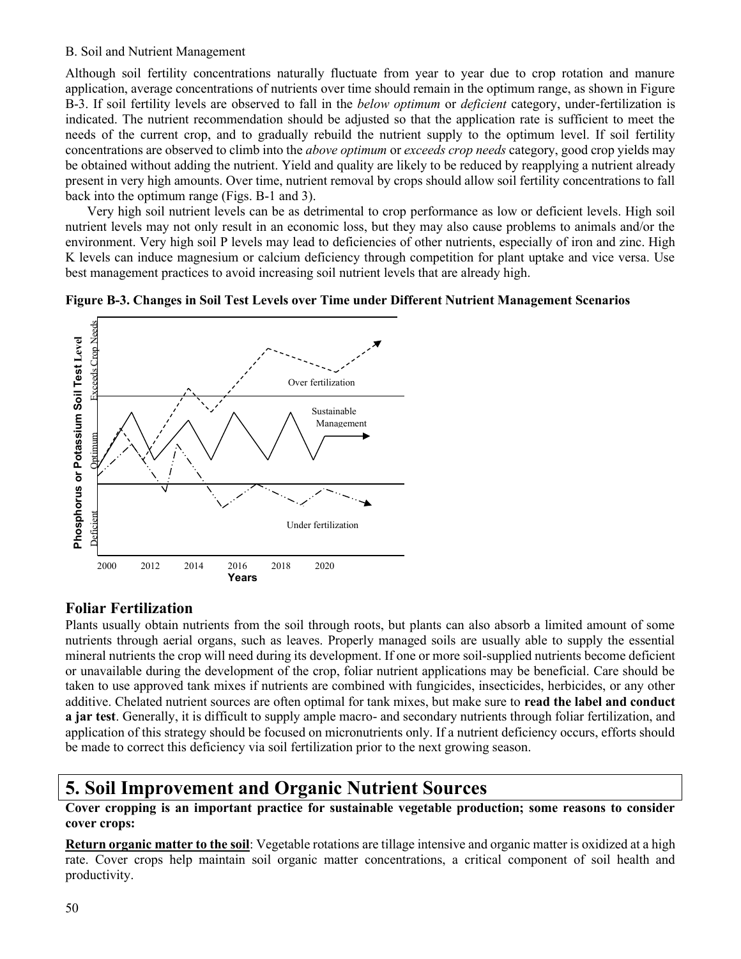Although soil fertility concentrations naturally fluctuate from year to year due to crop rotation and manure application, average concentrations of nutrients over time should remain in the optimum range, as shown in Figure B-3. If soil fertility levels are observed to fall in the *below optimum* or *deficient* category, under-fertilization is indicated. The nutrient recommendation should be adjusted so that the application rate is sufficient to meet the needs of the current crop, and to gradually rebuild the nutrient supply to the optimum level. If soil fertility concentrations are observed to climb into the *above optimum* or *exceeds crop needs* category, good crop yields may be obtained without adding the nutrient. Yield and quality are likely to be reduced by reapplying a nutrient already present in very high amounts. Over time, nutrient removal by crops should allow soil fertility concentrations to fall back into the optimum range (Figs. B-1 and 3).

Very high soil nutrient levels can be as detrimental to crop performance as low or deficient levels. High soil nutrient levels may not only result in an economic loss, but they may also cause problems to animals and/or the environment. Very high soil P levels may lead to deficiencies of other nutrients, especially of iron and zinc. High K levels can induce magnesium or calcium deficiency through competition for plant uptake and vice versa. Use best management practices to avoid increasing soil nutrient levels that are already high.





# **Foliar Fertilization**

Plants usually obtain nutrients from the soil through roots, but plants can also absorb a limited amount of some nutrients through aerial organs, such as leaves. Properly managed soils are usually able to supply the essential mineral nutrients the crop will need during its development. If one or more soil-supplied nutrients become deficient or unavailable during the development of the crop, foliar nutrient applications may be beneficial. Care should be taken to use approved tank mixes if nutrients are combined with fungicides, insecticides, herbicides, or any other additive. Chelated nutrient sources are often optimal for tank mixes, but make sure to **read the label and conduct a jar test**. Generally, it is difficult to supply ample macro- and secondary nutrients through foliar fertilization, and application of this strategy should be focused on micronutrients only. If a nutrient deficiency occurs, efforts should be made to correct this deficiency via soil fertilization prior to the next growing season.

# **5. Soil Improvement and Organic Nutrient Sources**

**Cover cropping is an important practice for sustainable vegetable production; some reasons to consider cover crops:**

**Return organic matter to the soil**: Vegetable rotations are tillage intensive and organic matter is oxidized at a high rate. Cover crops help maintain soil organic matter concentrations, a critical component of soil health and productivity.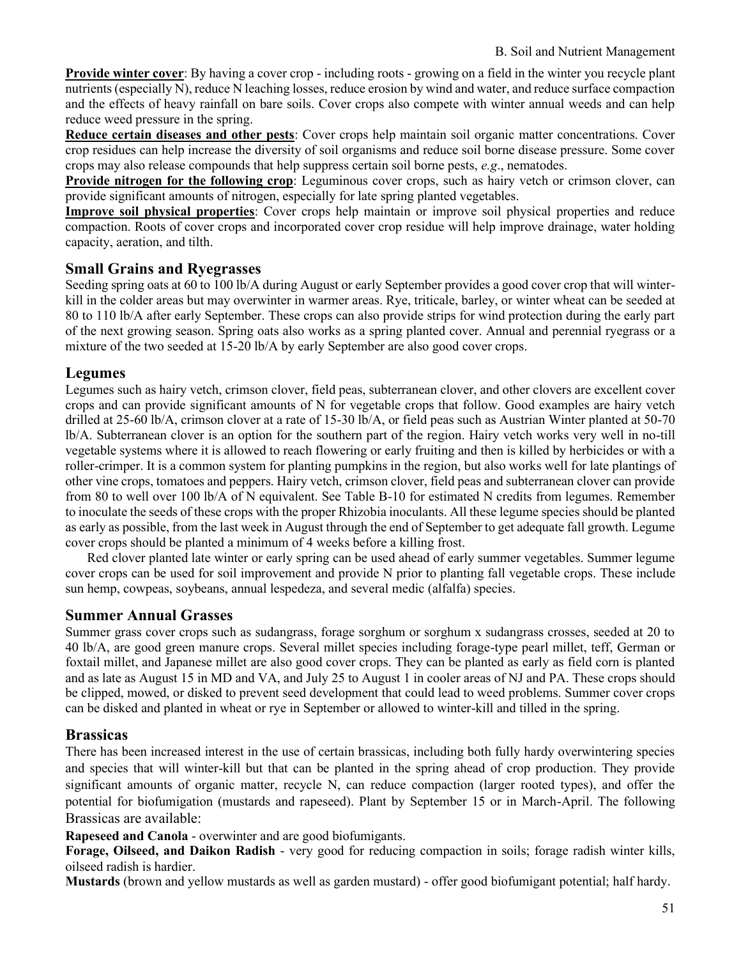**Provide winter cover**: By having a cover crop - including roots - growing on a field in the winter you recycle plant nutrients (especially N), reduce N leaching losses, reduce erosion by wind and water, and reduce surface compaction and the effects of heavy rainfall on bare soils. Cover crops also compete with winter annual weeds and can help reduce weed pressure in the spring.

**Reduce certain diseases and other pests**: Cover crops help maintain soil organic matter concentrations. Cover crop residues can help increase the diversity of soil organisms and reduce soil borne disease pressure. Some cover crops may also release compounds that help suppress certain soil borne pests, *e.g*., nematodes.

**Provide nitrogen for the following crop**: Leguminous cover crops, such as hairy vetch or crimson clover, can provide significant amounts of nitrogen, especially for late spring planted vegetables.

**Improve soil physical properties**: Cover crops help maintain or improve soil physical properties and reduce compaction. Roots of cover crops and incorporated cover crop residue will help improve drainage, water holding capacity, aeration, and tilth.

### **Small Grains and Ryegrasses**

Seeding spring oats at 60 to 100 lb/A during August or early September provides a good cover crop that will winterkill in the colder areas but may overwinter in warmer areas. Rye, triticale, barley, or winter wheat can be seeded at 80 to 110 lb/A after early September. These crops can also provide strips for wind protection during the early part of the next growing season. Spring oats also works as a spring planted cover. Annual and perennial ryegrass or a mixture of the two seeded at 15-20 lb/A by early September are also good cover crops.

### **Legumes**

Legumes such as hairy vetch, crimson clover, field peas, subterranean clover, and other clovers are excellent cover crops and can provide significant amounts of N for vegetable crops that follow. Good examples are hairy vetch drilled at 25-60 lb/A, crimson clover at a rate of 15-30 lb/A, or field peas such as Austrian Winter planted at 50-70 lb/A. Subterranean clover is an option for the southern part of the region. Hairy vetch works very well in no-till vegetable systems where it is allowed to reach flowering or early fruiting and then is killed by herbicides or with a roller-crimper. It is a common system for planting pumpkins in the region, but also works well for late plantings of other vine crops, tomatoes and peppers. Hairy vetch, crimson clover, field peas and subterranean clover can provide from 80 to well over 100 lb/A of N equivalent. See Table B-10 for estimated N credits from legumes. Remember to inoculate the seeds of these crops with the proper Rhizobia inoculants. All these legume species should be planted as early as possible, from the last week in August through the end of September to get adequate fall growth. Legume cover crops should be planted a minimum of 4 weeks before a killing frost.

Red clover planted late winter or early spring can be used ahead of early summer vegetables. Summer legume cover crops can be used for soil improvement and provide N prior to planting fall vegetable crops. These include sun hemp, cowpeas, soybeans, annual lespedeza, and several medic (alfalfa) species.

# **Summer Annual Grasses**

Summer grass cover crops such as sudangrass, forage sorghum or sorghum x sudangrass crosses, seeded at 20 to 40 lb/A, are good green manure crops. Several millet species including forage-type pearl millet, teff, German or foxtail millet, and Japanese millet are also good cover crops. They can be planted as early as field corn is planted and as late as August 15 in MD and VA, and July 25 to August 1 in cooler areas of NJ and PA. These crops should be clipped, mowed, or disked to prevent seed development that could lead to weed problems. Summer cover crops can be disked and planted in wheat or rye in September or allowed to winter-kill and tilled in the spring.

# **Brassicas**

There has been increased interest in the use of certain brassicas, including both fully hardy overwintering species and species that will winter-kill but that can be planted in the spring ahead of crop production. They provide significant amounts of organic matter, recycle N, can reduce compaction (larger rooted types), and offer the potential for biofumigation (mustards and rapeseed). Plant by September 15 or in March-April. The following Brassicas are available:

**Rapeseed and Canola** - overwinter and are good biofumigants.

**Forage, Oilseed, and Daikon Radish** - very good for reducing compaction in soils; forage radish winter kills, oilseed radish is hardier.

**Mustards** (brown and yellow mustards as well as garden mustard) - offer good biofumigant potential; half hardy.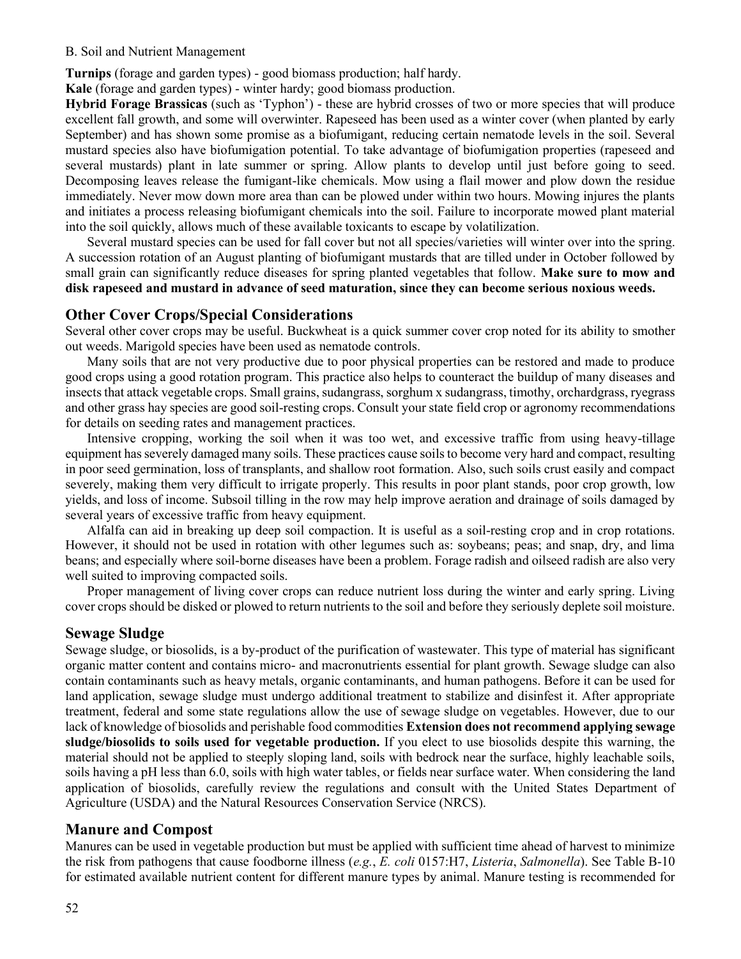**Turnips** (forage and garden types) - good biomass production; half hardy.

**Kale** (forage and garden types) - winter hardy; good biomass production.

**Hybrid Forage Brassicas** (such as 'Typhon') - these are hybrid crosses of two or more species that will produce excellent fall growth, and some will overwinter. Rapeseed has been used as a winter cover (when planted by early September) and has shown some promise as a biofumigant, reducing certain nematode levels in the soil. Several mustard species also have biofumigation potential. To take advantage of biofumigation properties (rapeseed and several mustards) plant in late summer or spring. Allow plants to develop until just before going to seed. Decomposing leaves release the fumigant-like chemicals. Mow using a flail mower and plow down the residue immediately. Never mow down more area than can be plowed under within two hours. Mowing injures the plants and initiates a process releasing biofumigant chemicals into the soil. Failure to incorporate mowed plant material into the soil quickly, allows much of these available toxicants to escape by volatilization.

Several mustard species can be used for fall cover but not all species/varieties will winter over into the spring. A succession rotation of an August planting of biofumigant mustards that are tilled under in October followed by small grain can significantly reduce diseases for spring planted vegetables that follow. **Make sure to mow and disk rapeseed and mustard in advance of seed maturation, since they can become serious noxious weeds.**

#### **Other Cover Crops/Special Considerations**

Several other cover crops may be useful. Buckwheat is a quick summer cover crop noted for its ability to smother out weeds. Marigold species have been used as nematode controls.

Many soils that are not very productive due to poor physical properties can be restored and made to produce good crops using a good rotation program. This practice also helps to counteract the buildup of many diseases and insects that attack vegetable crops. Small grains, sudangrass, sorghum x sudangrass, timothy, orchardgrass, ryegrass and other grass hay species are good soil-resting crops. Consult your state field crop or agronomy recommendations for details on seeding rates and management practices.

Intensive cropping, working the soil when it was too wet, and excessive traffic from using heavy-tillage equipment has severely damaged many soils. These practices cause soils to become very hard and compact, resulting in poor seed germination, loss of transplants, and shallow root formation. Also, such soils crust easily and compact severely, making them very difficult to irrigate properly. This results in poor plant stands, poor crop growth, low yields, and loss of income. Subsoil tilling in the row may help improve aeration and drainage of soils damaged by several years of excessive traffic from heavy equipment.

Alfalfa can aid in breaking up deep soil compaction. It is useful as a soil-resting crop and in crop rotations. However, it should not be used in rotation with other legumes such as: soybeans; peas; and snap, dry, and lima beans; and especially where soil-borne diseases have been a problem. Forage radish and oilseed radish are also very well suited to improving compacted soils.

Proper management of living cover crops can reduce nutrient loss during the winter and early spring. Living cover crops should be disked or plowed to return nutrients to the soil and before they seriously deplete soil moisture.

#### **Sewage Sludge**

Sewage sludge, or biosolids, is a by-product of the purification of wastewater. This type of material has significant organic matter content and contains micro- and macronutrients essential for plant growth. Sewage sludge can also contain contaminants such as heavy metals, organic contaminants, and human pathogens. Before it can be used for land application, sewage sludge must undergo additional treatment to stabilize and disinfest it. After appropriate treatment, federal and some state regulations allow the use of sewage sludge on vegetables. However, due to our lack of knowledge of biosolids and perishable food commodities **Extension does not recommend applying sewage sludge/biosolids to soils used for vegetable production.** If you elect to use biosolids despite this warning, the material should not be applied to steeply sloping land, soils with bedrock near the surface, highly leachable soils, soils having a pH less than 6.0, soils with high water tables, or fields near surface water. When considering the land application of biosolids, carefully review the regulations and consult with the United States Department of Agriculture (USDA) and the Natural Resources Conservation Service (NRCS).

#### **Manure and Compost**

Manures can be used in vegetable production but must be applied with sufficient time ahead of harvest to minimize the risk from pathogens that cause foodborne illness (*e.g.*, *E. coli* 0157:H7, *Listeria*, *Salmonella*). See Table B-10 for estimated available nutrient content for different manure types by animal. Manure testing is recommended for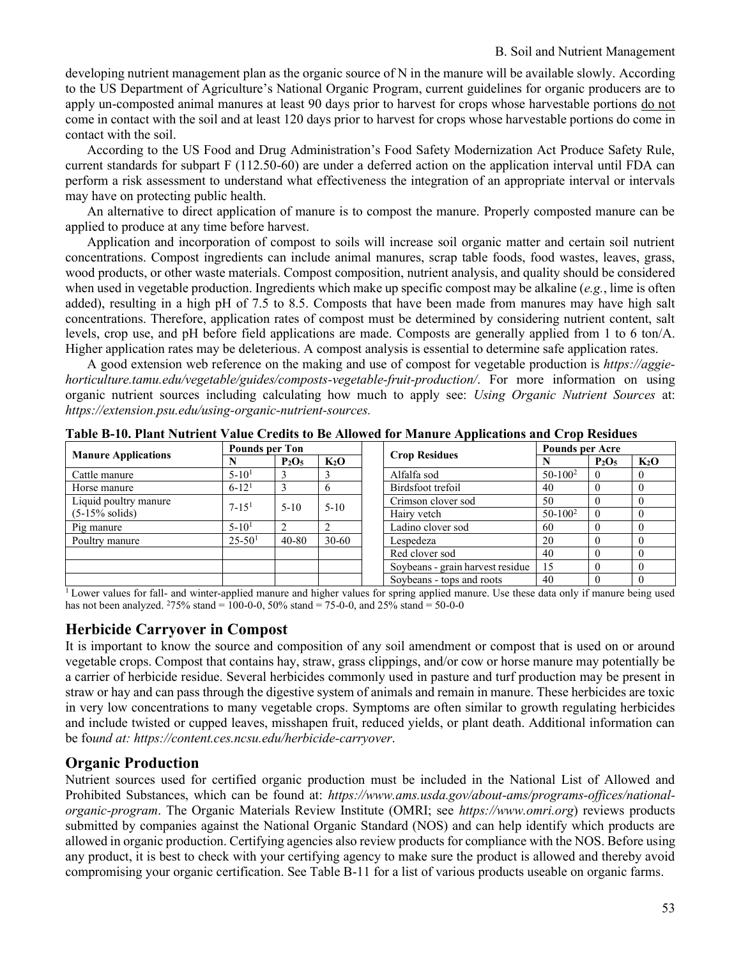developing nutrient management plan as the organic source of N in the manure will be available slowly. According to the US Department of Agriculture's National Organic Program, current guidelines for organic producers are to apply un-composted animal manures at least 90 days prior to harvest for crops whose harvestable portions do not come in contact with the soil and at least 120 days prior to harvest for crops whose harvestable portions do come in contact with the soil.

According to the US Food and Drug Administration's Food Safety Modernization Act Produce Safety Rule, current standards for subpart F (112.50-60) are under a deferred action on the application interval until FDA can perform a risk assessment to understand what effectiveness the integration of an appropriate interval or intervals may have on protecting public health.

An alternative to direct application of manure is to compost the manure. Properly composted manure can be applied to produce at any time before harvest.

Application and incorporation of compost to soils will increase soil organic matter and certain soil nutrient concentrations. Compost ingredients can include animal manures, scrap table foods, food wastes, leaves, grass, wood products, or other waste materials. Compost composition, nutrient analysis, and quality should be considered when used in vegetable production. Ingredients which make up specific compost may be alkaline (*e.g.*, lime is often added), resulting in a high pH of 7.5 to 8.5. Composts that have been made from manures may have high salt concentrations. Therefore, application rates of compost must be determined by considering nutrient content, salt levels, crop use, and pH before field applications are made. Composts are generally applied from 1 to 6 ton/A. Higher application rates may be deleterious. A compost analysis is essential to determine safe application rates.

A good extension web reference on the making and use of compost for vegetable production is *[https://aggie](https://aggie-horticulture.tamu.edu/vegetable/guides/composts-vegetable-fruit-production/)[horticulture.tamu.edu/vegetable/guides/composts-vegetable-fruit-production/](https://aggie-horticulture.tamu.edu/vegetable/guides/composts-vegetable-fruit-production/)*. For more information on using organic nutrient sources including calculating how much to apply see: *Using Organic Nutrient Sources* at: *https://extension.psu.edu/using-organic-nutrient-sources.*

|                            | <b>Pounds per Ton</b> |           |           |  |                                  | <b>Pounds per Acre</b> |          |        |
|----------------------------|-----------------------|-----------|-----------|--|----------------------------------|------------------------|----------|--------|
| <b>Manure Applications</b> |                       | $P_2O_5$  | $K_2O$    |  | <b>Crop Residues</b>             |                        | $P_2O_5$ | $K_2O$ |
| Cattle manure              | $5 - 101$             |           |           |  | Alfalfa sod                      |                        |          |        |
| Horse manure               | $6 - 121$             |           |           |  | Birdsfoot trefoil                | 40                     |          |        |
| Liquid poultry manure      | $7 - 151$             | $5-10$    | $5-10$    |  | Crimson clover sod               | 50                     |          |        |
| $(5-15\% \text{ solids})$  |                       |           |           |  | Hairy vetch                      | $50-100^2$             |          |        |
| Pig manure                 | $5 - 101$             |           |           |  | Ladino clover sod                | 60                     |          |        |
| Poultry manure             | $25 - 501$            | $40 - 80$ | $30 - 60$ |  | Lespedeza                        | 20                     |          |        |
|                            |                       |           |           |  | Red clover sod                   | 40                     |          |        |
|                            |                       |           |           |  | Soybeans - grain harvest residue | 15                     |          |        |
|                            |                       |           |           |  | Soybeans - tops and roots        | 40                     |          |        |

**Table B-10. Plant Nutrient Value Credits to Be Allowed for Manure Applications and Crop Residues**

<sup>1</sup> Lower values for fall- and winter-applied manure and higher values for spring applied manure. Use these data only if manure being used has not been analyzed. <sup>2</sup>75% stand = 100-0-0, 50% stand = 75-0-0, and 25% stand = 50-0-0

# **Herbicide Carryover in Compost**

It is important to know the source and composition of any soil amendment or compost that is used on or around vegetable crops. Compost that contains hay, straw, grass clippings, and/or cow or horse manure may potentially be a carrier of herbicide residue. Several herbicides commonly used in pasture and turf production may be present in straw or hay and can pass through the digestive system of animals and remain in manure. These herbicides are toxic in very low concentrations to many vegetable crops. Symptoms are often similar to growth regulating herbicides and include twisted or cupped leaves, misshapen fruit, reduced yields, or plant death. Additional information can be fo*und at: <https://content.ces.ncsu.edu/herbicide-carryover>*.

# **Organic Production**

Nutrient sources used for certified organic production must be included in the National List of Allowed and Prohibited Substances, which can be found at: *[https://www.ams.usda.gov/about-ams/programs-offices/national](https://www.ams.usda.gov/about-ams/programs-offices/national-organic-program)[organic-program](https://www.ams.usda.gov/about-ams/programs-offices/national-organic-program)*. The Organic Materials Review Institute (OMRI; see *https://www.omri.org*) reviews products submitted by companies against the National Organic Standard (NOS) and can help identify which products are allowed in organic production. Certifying agencies also review products for compliance with the NOS. Before using any product, it is best to check with your certifying agency to make sure the product is allowed and thereby avoid compromising your organic certification. See Table B-11 for a list of various products useable on organic farms.